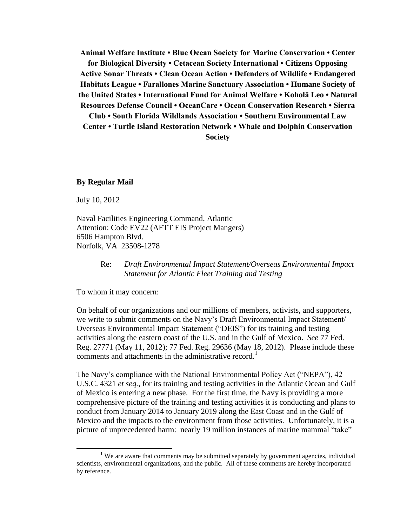**Animal Welfare Institute • Blue Ocean Society for Marine Conservation • Center for Biological Diversity • Cetacean Society International • Citizens Opposing Active Sonar Threats • Clean Ocean Action • Defenders of Wildlife • Endangered Habitats League • Farallones Marine Sanctuary Association • Humane Society of the United States • International Fund for Animal Welfare • Koholā Leo • Natural Resources Defense Council • OceanCare • Ocean Conservation Research • Sierra Club • South Florida Wildlands Association • Southern Environmental Law Center • Turtle Island Restoration Network • Whale and Dolphin Conservation Society**

#### **By Regular Mail**

July 10, 2012

 $\overline{a}$ 

Naval Facilities Engineering Command, Atlantic Attention: Code EV22 (AFTT EIS Project Mangers) 6506 Hampton Blvd. Norfolk, VA 23508-1278

> Re: *Draft Environmental Impact Statement/Overseas Environmental Impact Statement for Atlantic Fleet Training and Testing*

To whom it may concern:

On behalf of our organizations and our millions of members, activists, and supporters, we write to submit comments on the Navy's Draft Environmental Impact Statement/ Overseas Environmental Impact Statement ("DEIS") for its training and testing activities along the eastern coast of the U.S. and in the Gulf of Mexico. *See* 77 Fed. Reg. 27771 (May 11, 2012); 77 Fed. Reg. 29636 (May 18, 2012). Please include these comments and attachments in the administrative record.<sup>1</sup>

The Navy's compliance with the National Environmental Policy Act ("NEPA"), 42 U.S.C. 4321 *et seq.*, for its training and testing activities in the Atlantic Ocean and Gulf of Mexico is entering a new phase. For the first time, the Navy is providing a more comprehensive picture of the training and testing activities it is conducting and plans to conduct from January 2014 to January 2019 along the East Coast and in the Gulf of Mexico and the impacts to the environment from those activities. Unfortunately, it is a picture of unprecedented harm: nearly 19 million instances of marine mammal "take"

<sup>&</sup>lt;sup>1</sup> We are aware that comments may be submitted separately by government agencies, individual scientists, environmental organizations, and the public. All of these comments are hereby incorporated by reference.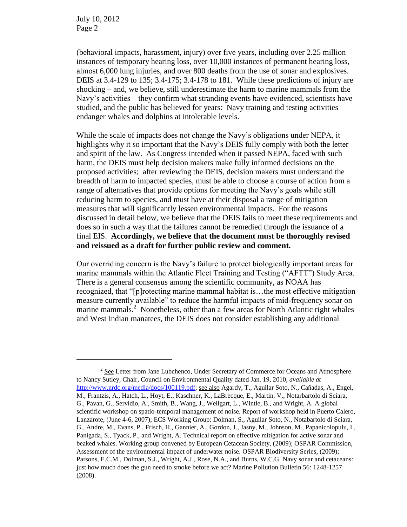$\overline{a}$ 

(behavioral impacts, harassment, injury) over five years, including over 2.25 million instances of temporary hearing loss, over 10,000 instances of permanent hearing loss, almost 6,000 lung injuries, and over 800 deaths from the use of sonar and explosives. DEIS at 3.4-129 to 135; 3.4-175; 3.4-178 to 181. While these predictions of injury are shocking – and, we believe, still underestimate the harm to marine mammals from the Navy's activities – they confirm what stranding events have evidenced, scientists have studied, and the public has believed for years: Navy training and testing activities endanger whales and dolphins at intolerable levels.

While the scale of impacts does not change the Navy's obligations under NEPA, it highlights why it so important that the Navy's DEIS fully comply with both the letter and spirit of the law. As Congress intended when it passed NEPA, faced with such harm, the DEIS must help decision makers make fully informed decisions on the proposed activities; after reviewing the DEIS, decision makers must understand the breadth of harm to impacted species, must be able to choose a course of action from a range of alternatives that provide options for meeting the Navy's goals while still reducing harm to species, and must have at their disposal a range of mitigation measures that will significantly lessen environmental impacts. For the reasons discussed in detail below, we believe that the DEIS fails to meet these requirements and does so in such a way that the failures cannot be remedied through the issuance of a final EIS. **Accordingly, we believe that the document must be thoroughly revised and reissued as a draft for further public review and comment.**

Our overriding concern is the Navy's failure to protect biologically important areas for marine mammals within the Atlantic Fleet Training and Testing ("AFTT") Study Area. There is a general consensus among the scientific community, as NOAA has recognized, that "[p]rotecting marine mammal habitat is…the most effective mitigation measure currently available" to reduce the harmful impacts of mid-frequency sonar on marine mammals.<sup>2</sup> Nonetheless, other than a few areas for North Atlantic right whales and West Indian manatees, the DEIS does not consider establishing any additional

 $2^{2}$  See Letter from Jane Lubchenco, Under Secretary of Commerce for Oceans and Atmosphere to Nancy Sutley, Chair, Council on Environmental Quality dated Jan. 19, 2010, *available at* [http://www.nrdc.org/media/docs/100119.pdf;](http://www.nrdc.org/media/docs/100119.pdf) see also Agardy, T., Aguilar Soto, N., Cañadas, A., Engel, M., Frantzis, A., Hatch, L., Hoyt, E., Kaschner, K., LaBrecque, E., Martin, V., Notarbartolo di Sciara, G., Pavan, G., Servidio, A., Smith, B., Wang, J., Weilgart, L., Wintle, B., and Wright, A. A global scientific workshop on spatio-temporal management of noise. Report of workshop held in Puerto Calero, Lanzarote, (June 4-6, 2007); ECS Working Group: Dolman, S., Aguilar Soto, N., Notabartolo di Sciara, G., Andre, M., Evans, P., Frisch, H., Gannier, A., Gordon, J., Jasny, M., Johnson, M., Papanicolopulu, I., Panigada, S., Tyack, P., and Wright, A. Technical report on effective mitigation for active sonar and beaked whales. Working group convened by European Cetacean Society, (2009); OSPAR Commission, Assessment of the environmental impact of underwater noise. OSPAR Biodiversity Series, (2009); Parsons, E.C.M., Dolman, S.J., Wright, A.J., Rose, N.A., and Burns, W.C.G. Navy sonar and cetaceans: just how much does the gun need to smoke before we act? Marine Pollution Bulletin 56: 1248-1257 (2008).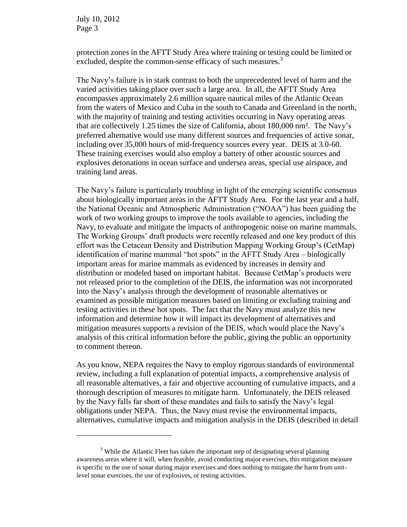$\overline{a}$ 

protection zones in the AFTT Study Area where training or testing could be limited or excluded, despite the common-sense efficacy of such measures.<sup>3</sup>

The Navy's failure is in stark contrast to both the unprecedented level of harm and the varied activities taking place over such a large area. In all, the AFTT Study Area encompasses approximately 2.6 million square nautical miles of the Atlantic Ocean from the waters of Mexico and Cuba in the south to Canada and Greenland in the north, with the majority of training and testing activities occurring in Navy operating areas that are collectively 1.25 times the size of California, about 180,000 nm². The Navy's preferred alternative would use many different sources and frequencies of active sonar, including over 35,000 hours of mid-frequency sources every year. DEIS at 3.0-60. These training exercises would also employ a battery of other acoustic sources and explosives detonations in ocean surface and undersea areas, special use airspace, and training land areas.

The Navy's failure is particularly troubling in light of the emerging scientific consensus about biologically important areas in the AFTT Study Area. For the last year and a half, the National Oceanic and Atmospheric Administration ("NOAA") has been guiding the work of two working groups to improve the tools available to agencies, including the Navy, to evaluate and mitigate the impacts of anthropogenic noise on marine mammals. The Working Groups' draft products were recently released and one key product of this effort was the Cetacean Density and Distribution Mapping Working Group's (CetMap) identification of marine mammal "hot spots" in the AFTT Study Area – biologically important areas for marine mammals as evidenced by increases in density and distribution or modeled based on important habitat. Because CetMap's products were not released prior to the completion of the DEIS, the information was not incorporated into the Navy's analysis through the development of reasonable alternatives or examined as possible mitigation measures based on limiting or excluding training and testing activities in these hot spots. The fact that the Navy must analyze this new information and determine how it will impact its development of alternatives and mitigation measures supports a revision of the DEIS, which would place the Navy's analysis of this critical information before the public, giving the public an opportunity to comment thereon.

As you know, NEPA requires the Navy to employ rigorous standards of environmental review, including a full explanation of potential impacts, a comprehensive analysis of all reasonable alternatives, a fair and objective accounting of cumulative impacts, and a thorough description of measures to mitigate harm. Unfortunately, the DEIS released by the Navy falls far short of these mandates and fails to satisfy the Navy's legal obligations under NEPA. Thus, the Navy must revise the environmental impacts, alternatives, cumulative impacts and mitigation analysis in the DEIS (described in detail

<sup>&</sup>lt;sup>3</sup> While the Atlantic Fleet has taken the important step of designating several planning awareness areas where it will, when feasible, avoid conducting major exercises, this mitigation measure is specific to the use of sonar during major exercises and does nothing to mitigate the harm from unitlevel sonar exercises, the use of explosives, or testing activities.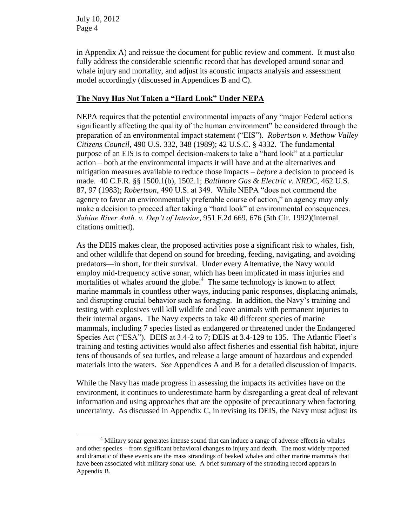in Appendix A) and reissue the document for public review and comment. It must also fully address the considerable scientific record that has developed around sonar and whale injury and mortality, and adjust its acoustic impacts analysis and assessment model accordingly (discussed in Appendices B and C).

## **The Navy Has Not Taken a "Hard Look" Under NEPA**

NEPA requires that the potential environmental impacts of any "major Federal actions significantly affecting the quality of the human environment" be considered through the preparation of an environmental impact statement ("EIS"). *Robertson v. Methow Valley Citizens Council*, 490 U.S. 332, 348 (1989); 42 U.S.C. § 4332. The fundamental purpose of an EIS is to compel decision-makers to take a "hard look" at a particular action – both at the environmental impacts it will have and at the alternatives and mitigation measures available to reduce those impacts – *before* a decision to proceed is made. 40 C.F.R. §§ 1500.1(b), 1502.1; *Baltimore Gas & Electric v. NRDC*, 462 U.S. 87, 97 (1983); *Robertson*, 490 U.S. at 349. While NEPA "does not commend the agency to favor an environmentally preferable course of action," an agency may only make a decision to proceed after taking a "hard look" at environmental consequences. *Sabine River Auth. v. Dep't of Interior*, 951 F.2d 669, 676 (5th Cir. 1992)(internal citations omitted).

As the DEIS makes clear, the proposed activities pose a significant risk to whales, fish, and other wildlife that depend on sound for breeding, feeding, navigating, and avoiding predators—in short, for their survival. Under every Alternative, the Navy would employ mid-frequency active sonar, which has been implicated in mass injuries and mortalities of whales around the globe. $<sup>4</sup>$  The same technology is known to affect</sup> marine mammals in countless other ways, inducing panic responses, displacing animals, and disrupting crucial behavior such as foraging. In addition, the Navy's training and testing with explosives will kill wildlife and leave animals with permanent injuries to their internal organs. The Navy expects to take 40 different species of marine mammals, including 7 species listed as endangered or threatened under the Endangered Species Act ("ESA"). DEIS at 3.4-2 to 7; DEIS at 3.4-129 to 135. The Atlantic Fleet's training and testing activities would also affect fisheries and essential fish habitat, injure tens of thousands of sea turtles, and release a large amount of hazardous and expended materials into the waters. *See* Appendices A and B for a detailed discussion of impacts.

While the Navy has made progress in assessing the impacts its activities have on the environment, it continues to underestimate harm by disregarding a great deal of relevant information and using approaches that are the opposite of precautionary when factoring uncertainty. As discussed in Appendix C, in revising its DEIS, the Navy must adjust its

 $\overline{a}$ <sup>4</sup> Military sonar generates intense sound that can induce a range of adverse effects in whales and other species – from significant behavioral changes to injury and death. The most widely reported and dramatic of these events are the mass strandings of beaked whales and other marine mammals that have been associated with military sonar use. A brief summary of the stranding record appears in Appendix B.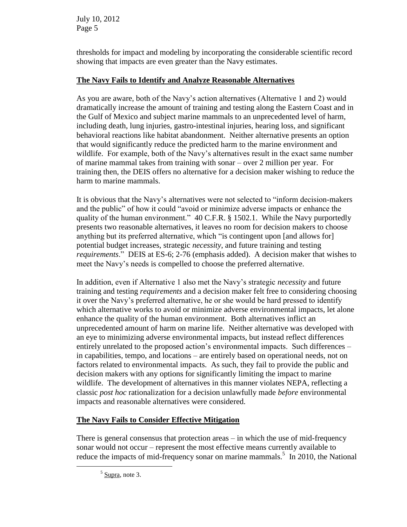thresholds for impact and modeling by incorporating the considerable scientific record showing that impacts are even greater than the Navy estimates.

# **The Navy Fails to Identify and Analyze Reasonable Alternatives**

As you are aware, both of the Navy's action alternatives (Alternative 1 and 2) would dramatically increase the amount of training and testing along the Eastern Coast and in the Gulf of Mexico and subject marine mammals to an unprecedented level of harm, including death, lung injuries, gastro-intestinal injuries, hearing loss, and significant behavioral reactions like habitat abandonment. Neither alternative presents an option that would significantly reduce the predicted harm to the marine environment and wildlife. For example, both of the Navy's alternatives result in the exact same number of marine mammal takes from training with sonar – over 2 million per year. For training then, the DEIS offers no alternative for a decision maker wishing to reduce the harm to marine mammals.

It is obvious that the Navy's alternatives were not selected to "inform decision-makers and the public" of how it could "avoid or minimize adverse impacts or enhance the quality of the human environment." 40 C.F.R. § 1502.1. While the Navy purportedly presents two reasonable alternatives, it leaves no room for decision makers to choose anything but its preferred alternative, which "is contingent upon [and allows for] potential budget increases, strategic *necessity*, and future training and testing *requirements*." DEIS at ES-6; 2-76 (emphasis added). A decision maker that wishes to meet the Navy's needs is compelled to choose the preferred alternative.

In addition, even if Alternative 1 also met the Navy's strategic *necessity* and future training and testing *requirements* and a decision maker felt free to considering choosing it over the Navy's preferred alternative, he or she would be hard pressed to identify which alternative works to avoid or minimize adverse environmental impacts, let alone enhance the quality of the human environment. Both alternatives inflict an unprecedented amount of harm on marine life. Neither alternative was developed with an eye to minimizing adverse environmental impacts, but instead reflect differences entirely unrelated to the proposed action's environmental impacts. Such differences – in capabilities, tempo, and locations – are entirely based on operational needs, not on factors related to environmental impacts. As such, they fail to provide the public and decision makers with any options for significantly limiting the impact to marine wildlife. The development of alternatives in this manner violates NEPA, reflecting a classic *post hoc* rationalization for a decision unlawfully made *before* environmental impacts and reasonable alternatives were considered.

# **The Navy Fails to Consider Effective Mitigation**

There is general consensus that protection areas – in which the use of mid-frequency sonar would not occur – represent the most effective means currently available to reduce the impacts of mid-frequency sonar on marine mammals.<sup>5</sup> In 2010, the National

 $\overline{a}$ 

 $<sup>5</sup>$  Supra, note 3.</sup>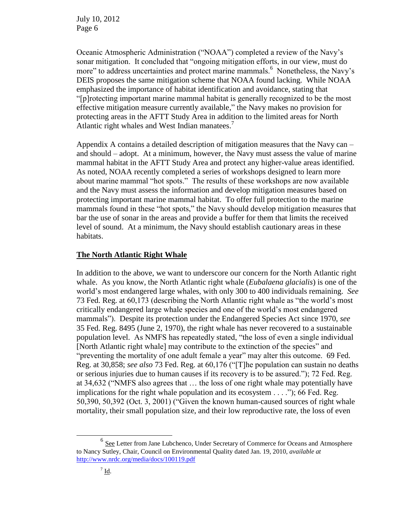Oceanic Atmospheric Administration ("NOAA") completed a review of the Navy's sonar mitigation. It concluded that "ongoing mitigation efforts, in our view, must do more" to address uncertainties and protect marine mammals.<sup>6</sup> Nonetheless, the Navy's DEIS proposes the same mitigation scheme that NOAA found lacking. While NOAA emphasized the importance of habitat identification and avoidance, stating that "[p]rotecting important marine mammal habitat is generally recognized to be the most effective mitigation measure currently available," the Navy makes no provision for protecting areas in the AFTT Study Area in addition to the limited areas for North Atlantic right whales and West Indian manatees.<sup>7</sup>

Appendix A contains a detailed description of mitigation measures that the Navy can – and should – adopt. At a minimum, however, the Navy must assess the value of marine mammal habitat in the AFTT Study Area and protect any higher-value areas identified. As noted, NOAA recently completed a series of workshops designed to learn more about marine mammal "hot spots." The results of these workshops are now available and the Navy must assess the information and develop mitigation measures based on protecting important marine mammal habitat. To offer full protection to the marine mammals found in these "hot spots," the Navy should develop mitigation measures that bar the use of sonar in the areas and provide a buffer for them that limits the received level of sound. At a minimum, the Navy should establish cautionary areas in these habitats.

#### **The North Atlantic Right Whale**

In addition to the above, we want to underscore our concern for the North Atlantic right whale. As you know, the North Atlantic right whale (*Eubalaena glacialis*) is one of the world's most endangered large whales, with only 300 to 400 individuals remaining. *See*  73 Fed. Reg. at 60,173 (describing the North Atlantic right whale as "the world's most critically endangered large whale species and one of the world's most endangered mammals"). Despite its protection under the Endangered Species Act since 1970, *see*  35 Fed. Reg. 8495 (June 2, 1970), the right whale has never recovered to a sustainable population level. As NMFS has repeatedly stated, "the loss of even a single individual [North Atlantic right whale] may contribute to the extinction of the species" and "preventing the mortality of one adult female a year" may alter this outcome. 69 Fed. Reg. at 30,858; *see also* 73 Fed. Reg. at 60,176 ("[T]he population can sustain no deaths or serious injuries due to human causes if its recovery is to be assured."); 72 Fed. Reg. at 34,632 ("NMFS also agrees that … the loss of one right whale may potentially have implications for the right whale population and its ecosystem . . . ."); 66 Fed. Reg. 50,390, 50,392 (Oct. 3, 2001) ("Given the known human-caused sources of right whale mortality, their small population size, and their low reproductive rate, the loss of even

 $\overline{a}$ 

<sup>&</sup>lt;sup>6</sup> See Letter from Jane Lubchenco, Under Secretary of Commerce for Oceans and Atmosphere to Nancy Sutley, Chair, Council on Environmental Quality dated Jan. 19, 2010, *available at* <http://www.nrdc.org/media/docs/100119.pdf>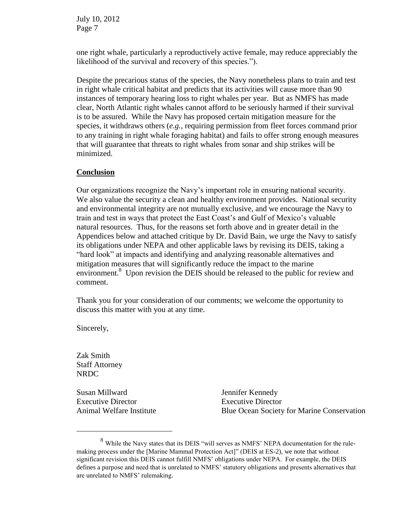one right whale, particularly a reproductively active female, may reduce appreciably the likelihood of the survival and recovery of this species.").

Despite the precarious status of the species, the Navy nonetheless plans to train and test in right whale critical habitat and predicts that its activities will cause more than 90 instances of temporary hearing loss to right whales per year. But as NMFS has made clear, North Atlantic right whales cannot afford to be seriously harmed if their survival is to be assured. While the Navy has proposed certain mitigation measure for the species, it withdraws others (*e.g.*, requiring permission from fleet forces command prior to any training in right whale foraging habitat) and fails to offer strong enough measures that will guarantee that threats to right whales from sonar and ship strikes will be minimized.

### **Conclusion**

Our organizations recognize the Navy's important role in ensuring national security. We also value the security a clean and healthy environment provides. National security and environmental integrity are not mutually exclusive, and we encourage the Navy to train and test in ways that protect the East Coast's and Gulf of Mexico's valuable natural resources. Thus, for the reasons set forth above and in greater detail in the Appendices below and attached critique by Dr. David Bain, we urge the Navy to satisfy its obligations under NEPA and other applicable laws by revising its DEIS, taking a "hard look" at impacts and identifying and analyzing reasonable alternatives and mitigation measures that will significantly reduce the impact to the marine environment.<sup>8</sup> Upon revision the DEIS should be released to the public for review and comment.

Thank you for your consideration of our comments; we welcome the opportunity to discuss this matter with you at any time.

Sincerely,

Zak Smith Staff Attorney NRDC

 $\overline{a}$ 

Susan Millward Executive Director Animal Welfare Institute Jennifer Kennedy Executive Director Blue Ocean Society for Marine Conservation

<sup>&</sup>lt;sup>8</sup> While the Navy states that its DEIS "will serves as NMFS' NEPA documentation for the rulemaking process under the [Marine Mammal Protection Act]" (DEIS at ES-2), we note that without significant revision this DEIS cannot fulfill NMFS' obligations under NEPA. For example, the DEIS defines a purpose and need that is unrelated to NMFS' statutory obligations and presents alternatives that are unrelated to NMFS' rulemaking.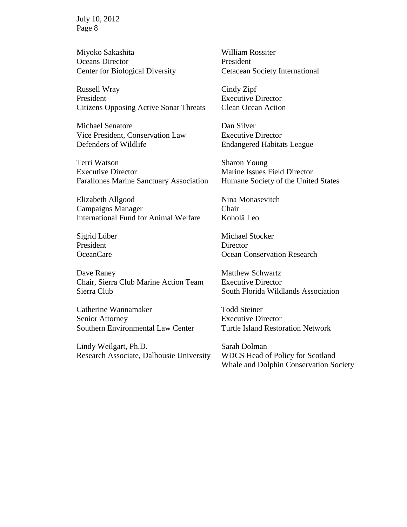Miyoko Sakashita Oceans Director Center for Biological Diversity

Russell Wray President Citizens Opposing Active Sonar Threats

Michael Senatore Vice President, Conservation Law Defenders of Wildlife

Terri Watson Executive Director Farallones Marine Sanctuary Association

Elizabeth Allgood Campaigns Manager International Fund for Animal Welfare

Sigrid Lüber President OceanCare

Dave Raney Chair, Sierra Club Marine Action Team Sierra Club

Catherine Wannamaker Senior Attorney Southern Environmental Law Center

Lindy Weilgart, Ph.D. Research Associate, Dalhousie University William Rossiter President Cetacean Society International

Cindy Zipf Executive Director Clean Ocean Action

Dan Silver Executive Director Endangered Habitats League

Sharon Young Marine Issues Field Director Humane Society of the United States

Nina Monasevitch Chair Koholā Leo

Michael Stocker **Director** Ocean Conservation Research

Matthew Schwartz Executive Director South Florida Wildlands Association

Todd Steiner Executive Director Turtle Island Restoration Network

Sarah Dolman WDCS Head of Policy for Scotland Whale and Dolphin Conservation Society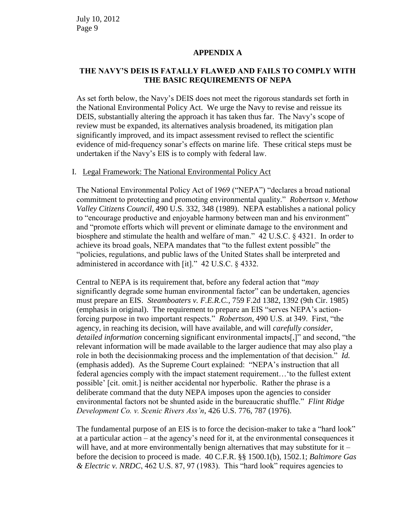#### **APPENDIX A**

## **THE NAVY'S DEIS IS FATALLY FLAWED AND FAILS TO COMPLY WITH THE BASIC REQUIREMENTS OF NEPA**

As set forth below, the Navy's DEIS does not meet the rigorous standards set forth in the National Environmental Policy Act. We urge the Navy to revise and reissue its DEIS, substantially altering the approach it has taken thus far. The Navy's scope of review must be expanded, its alternatives analysis broadened, its mitigation plan significantly improved, and its impact assessment revised to reflect the scientific evidence of mid-frequency sonar's effects on marine life. These critical steps must be undertaken if the Navy's EIS is to comply with federal law.

#### I. Legal Framework: The National Environmental Policy Act

The National Environmental Policy Act of 1969 ("NEPA") "declares a broad national commitment to protecting and promoting environmental quality." *Robertson v. Methow Valley Citizens Council*, 490 U.S. 332, 348 (1989). NEPA establishes a national policy to "encourage productive and enjoyable harmony between man and his environment" and "promote efforts which will prevent or eliminate damage to the environment and biosphere and stimulate the health and welfare of man." 42 U.S.C. § 4321. In order to achieve its broad goals, NEPA mandates that "to the fullest extent possible" the "policies, regulations, and public laws of the United States shall be interpreted and administered in accordance with [it]." 42 U.S.C. § 4332.

Central to NEPA is its requirement that, before any federal action that "*may* significantly degrade some human environmental factor" can be undertaken, agencies must prepare an EIS. *Steamboaters v. F.E.R.C.*, 759 F.2d 1382, 1392 (9th Cir. 1985) (emphasis in original). The requirement to prepare an EIS "serves NEPA's actionforcing purpose in two important respects." *Robertson*, 490 U.S. at 349. First, "the agency, in reaching its decision, will have available, and will *carefully consider, detailed information* concerning significant environmental impacts[,]" and second, "the relevant information will be made available to the larger audience that may also play a role in both the decisionmaking process and the implementation of that decision." *Id.* (emphasis added). As the Supreme Court explained: "NEPA's instruction that all federal agencies comply with the impact statement requirement…'to the fullest extent possible' [cit. omit.] is neither accidental nor hyperbolic. Rather the phrase is a deliberate command that the duty NEPA imposes upon the agencies to consider environmental factors not be shunted aside in the bureaucratic shuffle." *Flint Ridge Development Co. v. Scenic Rivers Ass'n*, 426 U.S. 776, 787 (1976).

The fundamental purpose of an EIS is to force the decision-maker to take a "hard look" at a particular action – at the agency's need for it, at the environmental consequences it will have, and at more environmentally benign alternatives that may substitute for it – before the decision to proceed is made. 40 C.F.R. §§ 1500.1(b), 1502.1; *Baltimore Gas & Electric v. NRDC*, 462 U.S. 87, 97 (1983). This "hard look" requires agencies to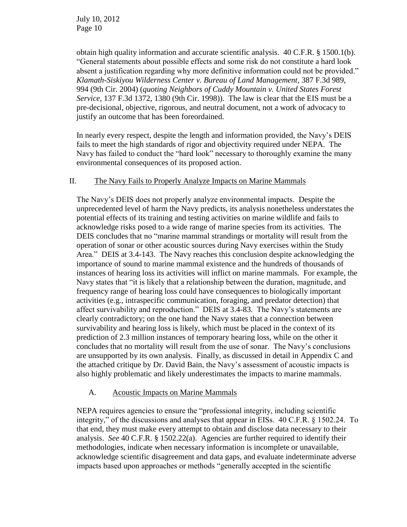obtain high quality information and accurate scientific analysis. 40 C.F.R. § 1500.1(b). "General statements about possible effects and some risk do not constitute a hard look absent a justification regarding why more definitive information could not be provided." *Klamath-Siskiyou Wilderness Center v. Bureau of Land Management*, 387 F.3d 989, 994 (9th Cir. 2004) (*quoting Neighbors of Cuddy Mountain v. United States Forest Service*, 137 F.3d 1372, 1380 (9th Cir. 1998)). The law is clear that the EIS must be a pre-decisional, objective, rigorous, and neutral document, not a work of advocacy to justify an outcome that has been foreordained.

In nearly every respect, despite the length and information provided, the Navy's DEIS fails to meet the high standards of rigor and objectivity required under NEPA. The Navy has failed to conduct the "hard look" necessary to thoroughly examine the many environmental consequences of its proposed action.

### II. The Navy Fails to Properly Analyze Impacts on Marine Mammals

The Navy's DEIS does not properly analyze environmental impacts. Despite the unprecedented level of harm the Navy predicts, its analysis nonetheless understates the potential effects of its training and testing activities on marine wildlife and fails to acknowledge risks posed to a wide range of marine species from its activities. The DEIS concludes that no "marine mammal strandings or mortality will result from the operation of sonar or other acoustic sources during Navy exercises within the Study Area." DEIS at 3.4-143. The Navy reaches this conclusion despite acknowledging the importance of sound to marine mammal existence and the hundreds of thousands of instances of hearing loss its activities will inflict on marine mammals. For example, the Navy states that "it is likely that a relationship between the duration, magnitude, and frequency range of hearing loss could have consequences to biologically important activities (e.g., intraspecific communication, foraging, and predator detection) that affect survivability and reproduction." DEIS at 3.4-83. The Navy's statements are clearly contradictory; on the one hand the Navy states that a connection between survivability and hearing loss is likely, which must be placed in the context of its prediction of 2.3 million instances of temporary hearing loss, while on the other it concludes that no mortality will result from the use of sonar. The Navy's conclusions are unsupported by its own analysis. Finally, as discussed in detail in Appendix C and the attached critique by Dr. David Bain, the Navy's assessment of acoustic impacts is also highly problematic and likely underestimates the impacts to marine mammals.

# A. Acoustic Impacts on Marine Mammals

NEPA requires agencies to ensure the "professional integrity, including scientific integrity," of the discussions and analyses that appear in EISs. 40 C.F.R. § 1502.24. To that end, they must make every attempt to obtain and disclose data necessary to their analysis. *See* 40 C.F.R. § 1502.22(a). Agencies are further required to identify their methodologies, indicate when necessary information is incomplete or unavailable, acknowledge scientific disagreement and data gaps, and evaluate indeterminate adverse impacts based upon approaches or methods "generally accepted in the scientific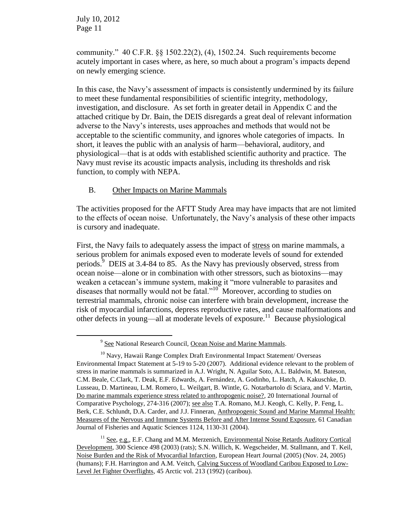$\overline{a}$ 

community." 40 C.F.R. §§ 1502.22(2), (4), 1502.24. Such requirements become acutely important in cases where, as here, so much about a program's impacts depend on newly emerging science.

In this case, the Navy's assessment of impacts is consistently undermined by its failure to meet these fundamental responsibilities of scientific integrity, methodology, investigation, and disclosure. As set forth in greater detail in Appendix C and the attached critique by Dr. Bain, the DEIS disregards a great deal of relevant information adverse to the Navy's interests, uses approaches and methods that would not be acceptable to the scientific community, and ignores whole categories of impacts. In short, it leaves the public with an analysis of harm—behavioral, auditory, and physiological—that is at odds with established scientific authority and practice. The Navy must revise its acoustic impacts analysis, including its thresholds and risk function, to comply with NEPA.

# B. Other Impacts on Marine Mammals

The activities proposed for the AFTT Study Area may have impacts that are not limited to the effects of ocean noise. Unfortunately, the Navy's analysis of these other impacts is cursory and inadequate.

First, the Navy fails to adequately assess the impact of stress on marine mammals, a serious problem for animals exposed even to moderate levels of sound for extended periods.<sup>9</sup> DEIS at 3.4-84 to 85. As the Navy has previously observed, stress from ocean noise—alone or in combination with other stressors, such as biotoxins—may weaken a cetacean's immune system, making it "more vulnerable to parasites and diseases that normally would not be fatal."<sup>10</sup> Moreover, according to studies on terrestrial mammals, chronic noise can interfere with brain development, increase the risk of myocardial infarctions, depress reproductive rates, and cause malformations and other defects in young—all at moderate levels of exposure.<sup>11</sup> Because physiological

<sup>&</sup>lt;sup>9</sup> See National Research Council, Ocean Noise and Marine Mammals.

<sup>&</sup>lt;sup>10</sup> Navy, Hawaii Range Complex Draft Environmental Impact Statement/ Overseas Environmental Impact Statement at 5-19 to 5-20 (2007). Additional evidence relevant to the problem of stress in marine mammals is summarized in A.J. Wright, N. Aguilar Soto, A.L. Baldwin, M. Bateson, C.M. Beale, C.Clark, T. Deak, E.F. Edwards, A. Fernández, A. Godinho, L. Hatch, A. Kakuschke, D. Lusseau, D. Martineau, L.M. Romero, L. Weilgart, B. Wintle, G. Notarbartolo di Sciara, and V. Martin, Do marine mammals experience stress related to anthropogenic noise?, 20 International Journal of Comparative Psychology, 274-316 (2007); see also T.A. Romano, M.J. Keogh, C. Kelly, P. Feng, L. Berk, C.E. Schlundt, D.A. Carder, and J.J. Finneran, Anthropogenic Sound and Marine Mammal Health: Measures of the Nervous and Immune Systems Before and After Intense Sound Exposure, 61 Canadian Journal of Fisheries and Aquatic Sciences 1124, 1130-31 (2004).

<sup>&</sup>lt;sup>11</sup> See, e.g., E.F. Chang and M.M. Merzenich, Environmental Noise Retards Auditory Cortical Development, 300 Science 498 (2003) (rats); S.N. Willich, K. Wegscheider, M. Stallmann, and T. Keil, Noise Burden and the Risk of Myocardial Infarction, European Heart Journal (2005) (Nov. 24, 2005) (humans); F.H. Harrington and A.M. Veitch, Calving Success of Woodland Caribou Exposed to Low-Level Jet Fighter Overflights, 45 Arctic vol. 213 (1992) (caribou).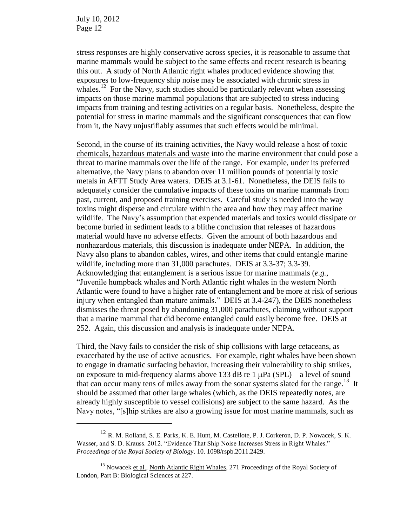$\overline{a}$ 

stress responses are highly conservative across species, it is reasonable to assume that marine mammals would be subject to the same effects and recent research is bearing this out. A study of North Atlantic right whales produced evidence showing that exposures to low-frequency ship noise may be associated with chronic stress in whales.<sup>12</sup> For the Navy, such studies should be particularly relevant when assessing impacts on those marine mammal populations that are subjected to stress inducing impacts from training and testing activities on a regular basis. Nonetheless, despite the potential for stress in marine mammals and the significant consequences that can flow from it, the Navy unjustifiably assumes that such effects would be minimal.

Second, in the course of its training activities, the Navy would release a host of toxic chemicals, hazardous materials and waste into the marine environment that could pose a threat to marine mammals over the life of the range. For example, under its preferred alternative, the Navy plans to abandon over 11 million pounds of potentially toxic metals in AFTT Study Area waters. DEIS at 3.1-61. Nonetheless, the DEIS fails to adequately consider the cumulative impacts of these toxins on marine mammals from past, current, and proposed training exercises. Careful study is needed into the way toxins might disperse and circulate within the area and how they may affect marine wildlife. The Navy's assumption that expended materials and toxics would dissipate or become buried in sediment leads to a blithe conclusion that releases of hazardous material would have no adverse effects. Given the amount of both hazardous and nonhazardous materials, this discussion is inadequate under NEPA. In addition, the Navy also plans to abandon cables, wires, and other items that could entangle marine wildlife, including more than 31,000 parachutes. DEIS at 3.3-37; 3.3-39. Acknowledging that entanglement is a serious issue for marine mammals (*e.g.*, "Juvenile humpback whales and North Atlantic right whales in the western North Atlantic were found to have a higher rate of entanglement and be more at risk of serious injury when entangled than mature animals." DEIS at 3.4-247), the DEIS nonetheless dismisses the threat posed by abandoning 31,000 parachutes, claiming without support that a marine mammal that did become entangled could easily become free. DEIS at 252. Again, this discussion and analysis is inadequate under NEPA.

Third, the Navy fails to consider the risk of ship collisions with large cetaceans, as exacerbated by the use of active acoustics. For example, right whales have been shown to engage in dramatic surfacing behavior, increasing their vulnerability to ship strikes, on exposure to mid-frequency alarms above 133 dB re 1  $\mu$ Pa (SPL)—a level of sound that can occur many tens of miles away from the sonar systems slated for the range.<sup>13</sup> It should be assumed that other large whales (which, as the DEIS repeatedly notes, are already highly susceptible to vessel collisions) are subject to the same hazard. As the Navy notes, "[s]hip strikes are also a growing issue for most marine mammals, such as

 $^{12}$  R. M. Rolland, S. E. Parks, K. E. Hunt, M. Castellote, P. J. Corkeron, D. P. Nowacek, S. K. Wasser, and S. D. Krauss. 2012. "Evidence That Ship Noise Increases Stress in Right Whales." *Proceedings of the Royal Society of Biology*. 10. 1098/rspb.2011.2429.

<sup>&</sup>lt;sup>13</sup> Nowacek et al., North Atlantic Right Whales, 271 Proceedings of the Royal Society of London, Part B: Biological Sciences at 227.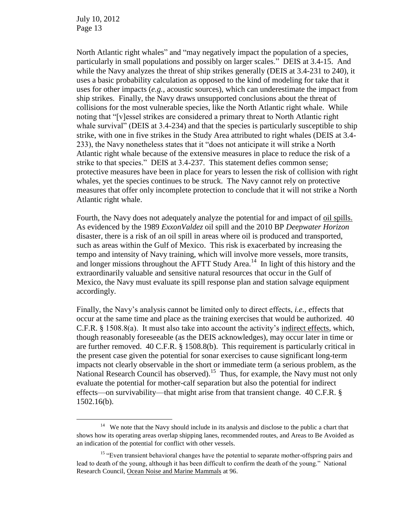$\overline{a}$ 

North Atlantic right whales" and "may negatively impact the population of a species, particularly in small populations and possibly on larger scales." DEIS at 3.4-15. And while the Navy analyzes the threat of ship strikes generally (DEIS at 3.4-231 to 240), it uses a basic probability calculation as opposed to the kind of modeling for take that it uses for other impacts (*e.g.*, acoustic sources), which can underestimate the impact from ship strikes. Finally, the Navy draws unsupported conclusions about the threat of collisions for the most vulnerable species, like the North Atlantic right whale. While noting that "[v]essel strikes are considered a primary threat to North Atlantic right whale survival" (DEIS at 3.4-234) and that the species is particularly susceptible to ship strike, with one in five strikes in the Study Area attributed to right whales (DEIS at 3.4- 233), the Navy nonetheless states that it "does not anticipate it will strike a North Atlantic right whale because of the extensive measures in place to reduce the risk of a strike to that species." DEIS at 3.4-237. This statement defies common sense; protective measures have been in place for years to lessen the risk of collision with right whales, yet the species continues to be struck. The Navy cannot rely on protective measures that offer only incomplete protection to conclude that it will not strike a North Atlantic right whale.

Fourth, the Navy does not adequately analyze the potential for and impact of oil spills. As evidenced by the 1989 *ExxonValdez* oil spill and the 2010 BP *Deepwater Horizon* disaster, there is a risk of an oil spill in areas where oil is produced and transported, such as areas within the Gulf of Mexico. This risk is exacerbated by increasing the tempo and intensity of Navy training, which will involve more vessels, more transits, and longer missions throughout the AFTT Study Area.<sup>14</sup> In light of this history and the extraordinarily valuable and sensitive natural resources that occur in the Gulf of Mexico, the Navy must evaluate its spill response plan and station salvage equipment accordingly.

Finally, the Navy's analysis cannot be limited only to direct effects, *i.e.*, effects that occur at the same time and place as the training exercises that would be authorized. 40 C.F.R. § 1508.8(a). It must also take into account the activity's indirect effects, which, though reasonably foreseeable (as the DEIS acknowledges), may occur later in time or are further removed. 40 C.F.R. § 1508.8(b). This requirement is particularly critical in the present case given the potential for sonar exercises to cause significant long-term impacts not clearly observable in the short or immediate term (a serious problem, as the National Research Council has observed).<sup>15</sup> Thus, for example, the Navy must not only evaluate the potential for mother-calf separation but also the potential for indirect effects—on survivability—that might arise from that transient change. 40 C.F.R. § 1502.16(b).

<sup>&</sup>lt;sup>14</sup> We note that the Navy should include in its analysis and disclose to the public a chart that shows how its operating areas overlap shipping lanes, recommended routes, and Areas to Be Avoided as an indication of the potential for conflict with other vessels.

<sup>&</sup>lt;sup>15</sup> "Even transient behavioral changes have the potential to separate mother-offspring pairs and lead to death of the young, although it has been difficult to confirm the death of the young." National Research Council, Ocean Noise and Marine Mammals at 96.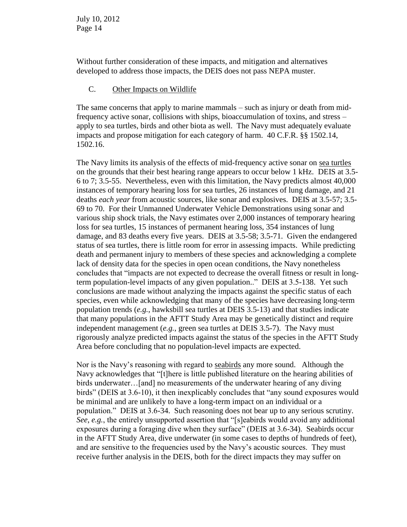Without further consideration of these impacts, and mitigation and alternatives developed to address those impacts, the DEIS does not pass NEPA muster.

### C. Other Impacts on Wildlife

The same concerns that apply to marine mammals – such as injury or death from midfrequency active sonar, collisions with ships, bioaccumulation of toxins, and stress – apply to sea turtles, birds and other biota as well. The Navy must adequately evaluate impacts and propose mitigation for each category of harm. 40 C.F.R. §§ 1502.14, 1502.16.

The Navy limits its analysis of the effects of mid-frequency active sonar on sea turtles on the grounds that their best hearing range appears to occur below 1 kHz. DEIS at 3.5- 6 to 7; 3.5-55. Nevertheless, even with this limitation, the Navy predicts almost 40,000 instances of temporary hearing loss for sea turtles, 26 instances of lung damage, and 21 deaths *each year* from acoustic sources, like sonar and explosives. DEIS at 3.5-57; 3.5- 69 to 70. For their Unmanned Underwater Vehicle Demonstrations using sonar and various ship shock trials, the Navy estimates over 2,000 instances of temporary hearing loss for sea turtles, 15 instances of permanent hearing loss, 354 instances of lung damage, and 83 deaths every five years. DEIS at 3.5-58; 3.5-71. Given the endangered status of sea turtles, there is little room for error in assessing impacts. While predicting death and permanent injury to members of these species and acknowledging a complete lack of density data for the species in open ocean conditions, the Navy nonetheless concludes that "impacts are not expected to decrease the overall fitness or result in longterm population-level impacts of any given population.." DEIS at 3.5-138. Yet such conclusions are made without analyzing the impacts against the specific status of each species, even while acknowledging that many of the species have decreasing long-term population trends (*e.g.*, hawksbill sea turtles at DEIS 3.5-13) and that studies indicate that many populations in the AFTT Study Area may be genetically distinct and require independent management (*e.g.*, green sea turtles at DEIS 3.5-7). The Navy must rigorously analyze predicted impacts against the status of the species in the AFTT Study Area before concluding that no population-level impacts are expected.

Nor is the Navy's reasoning with regard to seabirds any more sound. Although the Navy acknowledges that "[t]here is little published literature on the hearing abilities of birds underwater…[and] no measurements of the underwater hearing of any diving birds" (DEIS at 3.6-10), it then inexplicably concludes that "any sound exposures would be minimal and are unlikely to have a long-term impact on an individual or a population." DEIS at 3.6-34. Such reasoning does not bear up to any serious scrutiny. *See*, *e.g.*, the entirely unsupported assertion that "[s]eabirds would avoid any additional exposures during a foraging dive when they surface" (DEIS at 3.6-34). Seabirds occur in the AFTT Study Area, dive underwater (in some cases to depths of hundreds of feet), and are sensitive to the frequencies used by the Navy's acoustic sources. They must receive further analysis in the DEIS, both for the direct impacts they may suffer on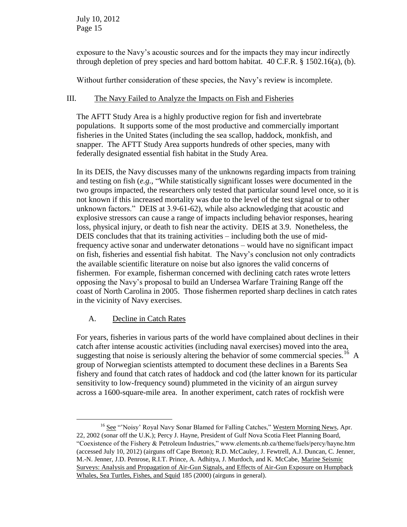exposure to the Navy's acoustic sources and for the impacts they may incur indirectly through depletion of prey species and hard bottom habitat. 40 C.F.R. § 1502.16(a), (b).

Without further consideration of these species, the Navy's review is incomplete.

### III. The Navy Failed to Analyze the Impacts on Fish and Fisheries

The AFTT Study Area is a highly productive region for fish and invertebrate populations. It supports some of the most productive and commercially important fisheries in the United States (including the sea scallop, haddock, monkfish, and snapper. The AFTT Study Area supports hundreds of other species, many with federally designated essential fish habitat in the Study Area.

In its DEIS, the Navy discusses many of the unknowns regarding impacts from training and testing on fish (*e.g.*, "While statistically significant losses were documented in the two groups impacted, the researchers only tested that particular sound level once, so it is not known if this increased mortality was due to the level of the test signal or to other unknown factors." DEIS at 3.9-61-62), while also acknowledging that acoustic and explosive stressors can cause a range of impacts including behavior responses, hearing loss, physical injury, or death to fish near the activity. DEIS at 3.9. Nonetheless, the DEIS concludes that that its training activities – including both the use of midfrequency active sonar and underwater detonations – would have no significant impact on fish, fisheries and essential fish habitat. The Navy's conclusion not only contradicts the available scientific literature on noise but also ignores the valid concerns of fishermen. For example, fisherman concerned with declining catch rates wrote letters opposing the Navy's proposal to build an Undersea Warfare Training Range off the coast of North Carolina in 2005. Those fishermen reported sharp declines in catch rates in the vicinity of Navy exercises.

# A. Decline in Catch Rates

 $\overline{a}$ 

For years, fisheries in various parts of the world have complained about declines in their catch after intense acoustic activities (including naval exercises) moved into the area, suggesting that noise is seriously altering the behavior of some commercial species.<sup>16</sup> A group of Norwegian scientists attempted to document these declines in a Barents Sea fishery and found that catch rates of haddock and cod (the latter known for its particular sensitivity to low-frequency sound) plummeted in the vicinity of an airgun survey across a 1600-square-mile area. In another experiment, catch rates of rockfish were

<sup>&</sup>lt;sup>16</sup> See "'Noisy' Royal Navy Sonar Blamed for Falling Catches," Western Morning News, Apr. 22, 2002 (sonar off the U.K.); Percy J. Hayne, President of Gulf Nova Scotia Fleet Planning Board, "Coexistence of the Fishery & Petroleum Industries," www.elements.nb.ca/theme/fuels/percy/hayne.htm (accessed July 10, 2012) (airguns off Cape Breton); R.D. McCauley, J. Fewtrell, A.J. Duncan, C. Jenner, M.-N. Jenner, J.D. Penrose, R.I.T. Prince, A. Adhitya, J. Murdoch, and K. McCabe, Marine Seismic Surveys: Analysis and Propagation of Air-Gun Signals, and Effects of Air-Gun Exposure on Humpback Whales, Sea Turtles, Fishes, and Squid 185 (2000) (airguns in general).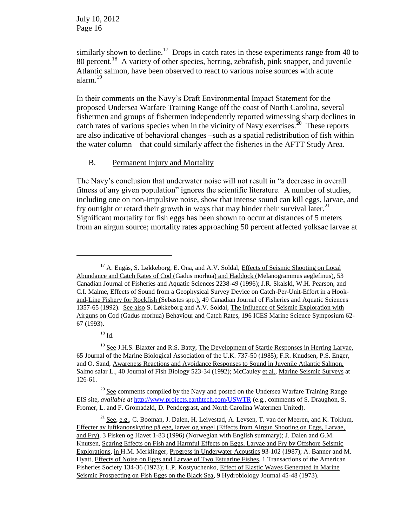similarly shown to decline.<sup>17</sup> Drops in catch rates in these experiments range from 40 to 80 percent.<sup>18</sup> A variety of other species, herring, zebrafish, pink snapper, and juvenile Atlantic salmon, have been observed to react to various noise sources with acute alarm.<sup>19</sup>

In their comments on the Navy's Draft Environmental Impact Statement for the proposed Undersea Warfare Training Range off the coast of North Carolina, several fishermen and groups of fishermen independently reported witnessing sharp declines in catch rates of various species when in the vicinity of Navy exercises.<sup>20</sup> These reports are also indicative of behavioral changes –such as a spatial redistribution of fish within the water column – that could similarly affect the fisheries in the AFTT Study Area.

### B. Permanent Injury and Mortality

The Navy's conclusion that underwater noise will not result in "a decrease in overall fitness of any given population" ignores the scientific literature. A number of studies, including one on non-impulsive noise, show that intense sound can kill eggs, larvae, and fry outright or retard their growth in ways that may hinder their survival later.<sup>21</sup> Significant mortality for fish eggs has been shown to occur at distances of 5 meters from an airgun source; mortality rates approaching 50 percent affected yolksac larvae at

 $\overline{a}$ 

<sup>&</sup>lt;sup>17</sup> A. Engås, S. Løkkeborg, E. Ona, and A.V. Soldal, Effects of Seismic Shooting on Local Abundance and Catch Rates of Cod (Gadus morhua) and Haddock (Melanogrammus aeglefinus), 53 Canadian Journal of Fisheries and Aquatic Sciences 2238-49 (1996); J.R. Skalski, W.H. Pearson, and C.I. Malme, Effects of Sound from a Geophysical Survey Device on Catch-Per-Unit-Effort in a Hookand-Line Fishery for Rockfish (Sebastes spp.), 49 Canadian Journal of Fisheries and Aquatic Sciences 1357-65 (1992). See also S. Løkkeborg and A.V. Soldal, The Influence of Seismic Exploration with Airguns on Cod (Gadus morhua) Behaviour and Catch Rates, 196 ICES Marine Science Symposium 62- 67 (1993).

 $18 \underline{Id.}$ 

 $19$  See J.H.S. Blaxter and R.S. Batty, The Development of Startle Responses in Herring Larvae, 65 Journal of the Marine Biological Association of the U.K. 737-50 (1985); F.R. Knudsen, P.S. Enger, and O. Sand, Awareness Reactions and Avoidance Responses to Sound in Juvenile Atlantic Salmon, Salmo salar L., 40 Journal of Fish Biology 523-34 (1992); McCauley et al., Marine Seismic Surveys at 126-61.

 $20$  See comments compiled by the Navy and posted on the Undersea Warfare Training Range EIS site, *available at* <http://www.projects.earthtech.com/USWTR> (e.g., comments of S. Draughon, S. Fromer, L. and F. Gromadzki, D. Pendergrast, and North Carolina Watermen United).

<sup>&</sup>lt;sup>21</sup> See, e.g., C. Booman, J. Dalen, H. Leivestad, A. Levsen, T. van der Meeren, and K. Toklum, Effecter av luftkanonskyting på egg, larver og yngel (Effects from Airgun Shooting on Eggs, Larvae, and Fry), 3 Fisken og Havet 1-83 (1996) (Norwegian with English summary); J. Dalen and G.M. Knutsen, Scaring Effects on Fish and Harmful Effects on Eggs, Larvae and Fry by Offshore Seismic Explorations, in H.M. Merklinger, Progress in Underwater Acoustics 93-102 (1987); A. Banner and M. Hyatt, Effects of Noise on Eggs and Larvae of Two Estuarine Fishes, 1 Transactions of the American Fisheries Society 134-36 (1973); L.P. Kostyuchenko, Effect of Elastic Waves Generated in Marine Seismic Prospecting on Fish Eggs on the Black Sea, 9 Hydrobiology Journal 45-48 (1973).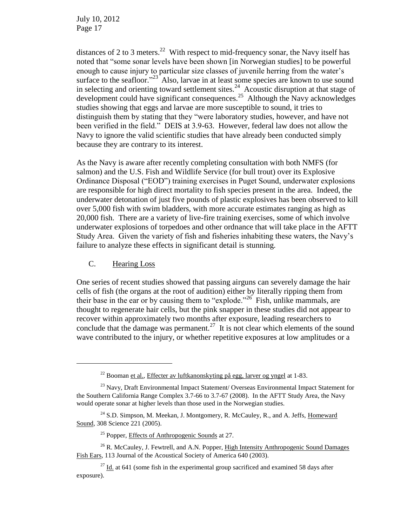distances of 2 to 3 meters.<sup>22</sup> With respect to mid-frequency sonar, the Navy itself has noted that "some sonar levels have been shown [in Norwegian studies] to be powerful enough to cause injury to particular size classes of juvenile herring from the water's surface to the seafloor. $123$  Also, larvae in at least some species are known to use sound in selecting and orienting toward settlement sites.<sup>24</sup> Acoustic disruption at that stage of development could have significant consequences.<sup>25</sup> Although the Navy acknowledges studies showing that eggs and larvae are more susceptible to sound, it tries to distinguish them by stating that they "were laboratory studies, however, and have not been verified in the field." DEIS at 3.9-63. However, federal law does not allow the Navy to ignore the valid scientific studies that have already been conducted simply because they are contrary to its interest.

As the Navy is aware after recently completing consultation with both NMFS (for salmon) and the U.S. Fish and Wildlife Service (for bull trout) over its Explosive Ordinance Disposal ("EOD") training exercises in Puget Sound, underwater explosions are responsible for high direct mortality to fish species present in the area. Indeed, the underwater detonation of just five pounds of plastic explosives has been observed to kill over 5,000 fish with swim bladders, with more accurate estimates ranging as high as 20,000 fish. There are a variety of live-fire training exercises, some of which involve underwater explosions of torpedoes and other ordnance that will take place in the AFTT Study Area. Given the variety of fish and fisheries inhabiting these waters, the Navy's failure to analyze these effects in significant detail is stunning.

#### C. Hearing Loss

 $\overline{a}$ 

One series of recent studies showed that passing airguns can severely damage the hair cells of fish (the organs at the root of audition) either by literally ripping them from their base in the ear or by causing them to "explode."<sup>26</sup> Fish, unlike mammals, are thought to regenerate hair cells, but the pink snapper in these studies did not appear to recover within approximately two months after exposure, leading researchers to conclude that the damage was permanent.<sup>27</sup> It is not clear which elements of the sound wave contributed to the injury, or whether repetitive exposures at low amplitudes or a

 $^{22}$  Booman et al., Effecter av luftkanonskyting på egg, larver og yngel at 1-83.

<sup>&</sup>lt;sup>23</sup> Navy, Draft Environmental Impact Statement/ Overseas Environmental Impact Statement for the Southern California Range Complex 3.7-66 to 3.7-67 (2008). In the AFTT Study Area, the Navy would operate sonar at higher levels than those used in the Norwegian studies.

 $24$  S.D. Simpson, M. Meekan, J. Montgomery, R. McCauley, R., and A. Jeffs, Homeward Sound, 308 Science 221 (2005).

 $25$  Popper, Effects of Anthropogenic Sounds at 27.

<sup>&</sup>lt;sup>26</sup> R. McCauley, J. Fewtrell, and A.N. Popper, High Intensity Anthropogenic Sound Damages Fish Ears, 113 Journal of the Acoustical Society of America 640 (2003).

 $27$  Id. at 641 (some fish in the experimental group sacrificed and examined 58 days after exposure).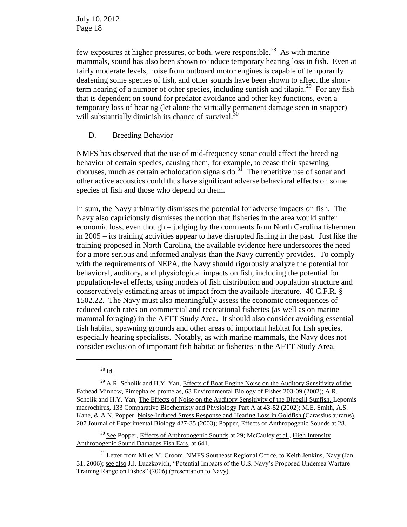few exposures at higher pressures, or both, were responsible.<sup>28</sup> As with marine mammals, sound has also been shown to induce temporary hearing loss in fish. Even at fairly moderate levels, noise from outboard motor engines is capable of temporarily deafening some species of fish, and other sounds have been shown to affect the shortterm hearing of a number of other species, including sunfish and tilapia.<sup>29</sup> For any fish that is dependent on sound for predator avoidance and other key functions, even a temporary loss of hearing (let alone the virtually permanent damage seen in snapper) will substantially diminish its chance of survival.<sup>30</sup>

### D. Breeding Behavior

NMFS has observed that the use of mid-frequency sonar could affect the breeding behavior of certain species, causing them, for example, to cease their spawning choruses, much as certain echolocation signals do.<sup>31</sup> The repetitive use of sonar and other active acoustics could thus have significant adverse behavioral effects on some species of fish and those who depend on them.

In sum, the Navy arbitrarily dismisses the potential for adverse impacts on fish. The Navy also capriciously dismisses the notion that fisheries in the area would suffer economic loss, even though – judging by the comments from North Carolina fishermen in 2005 – its training activities appear to have disrupted fishing in the past. Just like the training proposed in North Carolina, the available evidence here underscores the need for a more serious and informed analysis than the Navy currently provides. To comply with the requirements of NEPA, the Navy should rigorously analyze the potential for behavioral, auditory, and physiological impacts on fish, including the potential for population-level effects, using models of fish distribution and population structure and conservatively estimating areas of impact from the available literature. 40 C.F.R. § 1502.22. The Navy must also meaningfully assess the economic consequences of reduced catch rates on commercial and recreational fisheries (as well as on marine mammal foraging) in the AFTT Study Area. It should also consider avoiding essential fish habitat, spawning grounds and other areas of important habitat for fish species, especially hearing specialists. Notably, as with marine mammals, the Navy does not consider exclusion of important fish habitat or fisheries in the AFTT Study Area.

 $\overline{a}$ 

<sup>30</sup> See Popper, Effects of Anthropogenic Sounds at 29; McCauley et al., High Intensity Anthropogenic Sound Damages Fish Ears, at 641.

 $^{28}$  Id.

 $^{29}$  A.R. Scholik and H.Y. Yan, Effects of Boat Engine Noise on the Auditory Sensitivity of the Fathead Minnow, Pimephales promelas, 63 Environmental Biology of Fishes 203-09 (2002); A.R. Scholik and H.Y. Yan, The Effects of Noise on the Auditory Sensitivity of the Bluegill Sunfish, Lepomis macrochirus, 133 Comparative Biochemisty and Physiology Part A at 43-52 (2002); M.E. Smith, A.S. Kane, & A.N. Popper, Noise-Induced Stress Response and Hearing Loss in Goldfish (Carassius auratus), 207 Journal of Experimental Biology 427-35 (2003); Popper, Effects of Anthropogenic Sounds at 28.

<sup>&</sup>lt;sup>31</sup> Letter from Miles M. Croom, NMFS Southeast Regional Office, to Keith Jenkins, Navy (Jan. 31, 2006); see also J.J. Luczkovich, "Potential Impacts of the U.S. Navy's Proposed Undersea Warfare Training Range on Fishes" (2006) (presentation to Navy).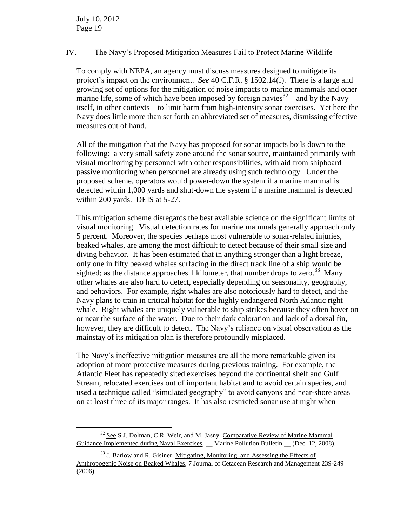$\overline{a}$ 

#### IV. The Navy's Proposed Mitigation Measures Fail to Protect Marine Wildlife

To comply with NEPA, an agency must discuss measures designed to mitigate its project's impact on the environment. *See* 40 C.F.R. § 1502.14(f). There is a large and growing set of options for the mitigation of noise impacts to marine mammals and other marine life, some of which have been imposed by foreign navies $32$ —and by the Navy itself, in other contexts—to limit harm from high-intensity sonar exercises. Yet here the Navy does little more than set forth an abbreviated set of measures, dismissing effective measures out of hand.

All of the mitigation that the Navy has proposed for sonar impacts boils down to the following: a very small safety zone around the sonar source, maintained primarily with visual monitoring by personnel with other responsibilities, with aid from shipboard passive monitoring when personnel are already using such technology. Under the proposed scheme, operators would power-down the system if a marine mammal is detected within 1,000 yards and shut-down the system if a marine mammal is detected within 200 yards. DEIS at 5-27.

This mitigation scheme disregards the best available science on the significant limits of visual monitoring. Visual detection rates for marine mammals generally approach only 5 percent. Moreover, the species perhaps most vulnerable to sonar-related injuries, beaked whales, are among the most difficult to detect because of their small size and diving behavior. It has been estimated that in anything stronger than a light breeze, only one in fifty beaked whales surfacing in the direct track line of a ship would be sighted; as the distance approaches 1 kilometer, that number drops to zero.<sup>33</sup> Many other whales are also hard to detect, especially depending on seasonality, geography, and behaviors. For example, right whales are also notoriously hard to detect, and the Navy plans to train in critical habitat for the highly endangered North Atlantic right whale. Right whales are uniquely vulnerable to ship strikes because they often hover on or near the surface of the water. Due to their dark coloration and lack of a dorsal fin, however, they are difficult to detect. The Navy's reliance on visual observation as the mainstay of its mitigation plan is therefore profoundly misplaced.

The Navy's ineffective mitigation measures are all the more remarkable given its adoption of more protective measures during previous training. For example, the Atlantic Fleet has repeatedly sited exercises beyond the continental shelf and Gulf Stream, relocated exercises out of important habitat and to avoid certain species, and used a technique called "simulated geography" to avoid canyons and near-shore areas on at least three of its major ranges. It has also restricted sonar use at night when

 $32$  See S.J. Dolman, C.R. Weir, and M. Jasny, Comparative Review of Marine Mammal Guidance Implemented during Naval Exercises, Marine Pollution Bulletin (Dec. 12, 2008).

 $33$  J. Barlow and R. Gisiner, Mitigating, Monitoring, and Assessing the Effects of Anthropogenic Noise on Beaked Whales, 7 Journal of Cetacean Research and Management 239-249 (2006).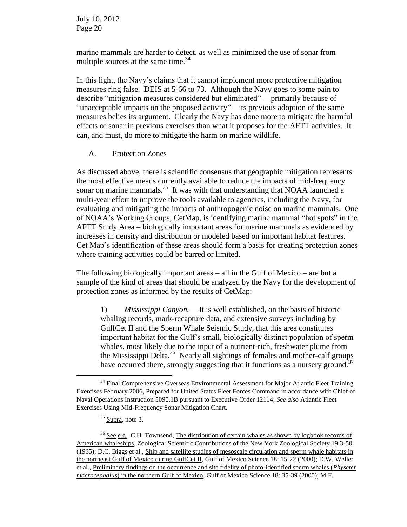marine mammals are harder to detect, as well as minimized the use of sonar from multiple sources at the same time.<sup>34</sup>

In this light, the Navy's claims that it cannot implement more protective mitigation measures ring false. DEIS at 5-66 to 73. Although the Navy goes to some pain to describe "mitigation measures considered but eliminated" —primarily because of "unacceptable impacts on the proposed activity"—its previous adoption of the same measures belies its argument. Clearly the Navy has done more to mitigate the harmful effects of sonar in previous exercises than what it proposes for the AFTT activities. It can, and must, do more to mitigate the harm on marine wildlife.

### A. Protection Zones

As discussed above, there is scientific consensus that geographic mitigation represents the most effective means currently available to reduce the impacts of mid-frequency sonar on marine mammals.<sup>35</sup> It was with that understanding that NOAA launched a multi-year effort to improve the tools available to agencies, including the Navy, for evaluating and mitigating the impacts of anthropogenic noise on marine mammals. One of NOAA's Working Groups, CetMap, is identifying marine mammal "hot spots" in the AFTT Study Area – biologically important areas for marine mammals as evidenced by increases in density and distribution or modeled based on important habitat features. Cet Map's identification of these areas should form a basis for creating protection zones where training activities could be barred or limited.

The following biologically important areas – all in the Gulf of Mexico – are but a sample of the kind of areas that should be analyzed by the Navy for the development of protection zones as informed by the results of CetMap:

1) *Mississippi Canyon.*— It is well established, on the basis of historic whaling records, mark-recapture data, and extensive surveys including by GulfCet II and the Sperm Whale Seismic Study, that this area constitutes important habitat for the Gulf's small, biologically distinct population of sperm whales, most likely due to the input of a nutrient-rich, freshwater plume from the Mississippi Delta.<sup>36</sup> Nearly all sightings of females and mother-calf groups have occurred there, strongly suggesting that it functions as a nursery ground.<sup>37</sup>

 $\overline{a}$ 

<sup>&</sup>lt;sup>34</sup> Final Comprehensive Overseas Environmental Assessment for Major Atlantic Fleet Training Exercises February 2006, Prepared for United States Fleet Forces Command in accordance with Chief of Naval Operations Instruction 5090.1B pursuant to Executive Order 12114; *See also* Atlantic Fleet Exercises Using Mid-Frequency Sonar Mitigation Chart.

 $35$  Supra, note 3.

<sup>&</sup>lt;sup>36</sup> See e.g., C.H. Townsend, The distribution of certain whales as shown by logbook records of American whaleships, Zoologica: Scientific Contributions of the New York Zoological Society 19:3-50 (1935); D.C. Biggs et al., Ship and satellite studies of mesoscale circulation and sperm whale habitats in the northeast Gulf of Mexico during GulfCet II, Gulf of Mexico Science 18: 15-22 (2000); D.W. Weller et al., Preliminary findings on the occurrence and site fidelity of photo-identified sperm whales (*Physeter macrocephalus*) in the northern Gulf of Mexico, Gulf of Mexico Science 18: 35-39 (2000); M.F.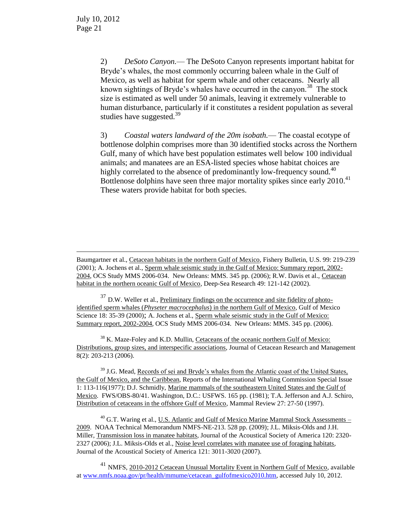$\overline{a}$ 

2) *DeSoto Canyon.*— The DeSoto Canyon represents important habitat for Bryde's whales, the most commonly occurring baleen whale in the Gulf of Mexico, as well as habitat for sperm whale and other cetaceans. Nearly all known sightings of Bryde's whales have occurred in the canyon.<sup>38</sup> The stock size is estimated as well under 50 animals, leaving it extremely vulnerable to human disturbance, particularly if it constitutes a resident population as several studies have suggested. $39$ 

3) *Coastal waters landward of the 20m isobath.*— The coastal ecotype of bottlenose dolphin comprises more than 30 identified stocks across the Northern Gulf, many of which have best population estimates well below 100 individual animals; and manatees are an ESA-listed species whose habitat choices are highly correlated to the absence of predominantly low-frequency sound.<sup>40</sup> Bottlenose dolphins have seen three major mortality spikes since early 2010. 41 These waters provide habitat for both species.

Baumgartner et al., Cetacean habitats in the northern Gulf of Mexico, Fishery Bulletin, U.S. 99: 219-239 (2001); A. Jochens et al., Sperm whale seismic study in the Gulf of Mexico: Summary report, 2002- 2004, OCS Study MMS 2006-034. New Orleans: MMS. 345 pp. (2006); R.W. Davis et al., Cetacean habitat in the northern oceanic Gulf of Mexico, Deep-Sea Research 49: 121-142 (2002).

 $37$  D.W. Weller et al., Preliminary findings on the occurrence and site fidelity of photoidentified sperm whales (*Physeter macrocephalus*) in the northern Gulf of Mexico, Gulf of Mexico Science 18: 35-39 (2000); A. Jochens et al., Sperm whale seismic study in the Gulf of Mexico: Summary report, 2002-2004, OCS Study MMS 2006-034. New Orleans: MMS. 345 pp. (2006).

<sup>38</sup> K. Maze-Foley and K.D. Mullin, Cetaceans of the oceanic northern Gulf of Mexico: Distributions, group sizes, and interspecific associations, Journal of Cetacean Research and Management 8(2): 203-213 (2006).

<sup>39</sup> J.G. Mead, Records of sei and Bryde's whales from the Atlantic coast of the United States, the Gulf of Mexico, and the Caribbean, Reports of the International Whaling Commission Special Issue 1: 113-116(1977); D.J. Schmidly, Marine mammals of the southeastern United States and the Gulf of Mexico. FWS/OBS-80/41. Washington, D.C.: USFWS. 165 pp. (1981); T.A. Jefferson and A.J. Schiro, Distribution of cetaceans in the offshore Gulf of Mexico, Mammal Review 27: 27-50 (1997).

 $^{40}$  G.T. Waring et al., U.S. Atlantic and Gulf of Mexico Marine Mammal Stock Assessments – 2009. NOAA Technical Memorandum NMFS-NE-213. 528 pp. (2009); J.L. Miksis-Olds and J.H. Miller, Transmission loss in manatee habitats, Journal of the Acoustical Society of America 120: 2320- 2327 (2006); J.L. Miksis-Olds et al., Noise level correlates with manatee use of foraging habitats, Journal of the Acoustical Society of America 121: 3011-3020 (2007).

<sup>41</sup> NMFS, 2010-2012 Cetacean Unusual Mortality Event in Northern Gulf of Mexico, available at [www.nmfs.noaa.gov/pr/health/mmume/cetacean\\_gulfofmexico2010.htm,](http://www.nmfs.noaa.gov/pr/health/mmume/cetacean_gulfofmexico2010.htm) accessed July 10, 2012.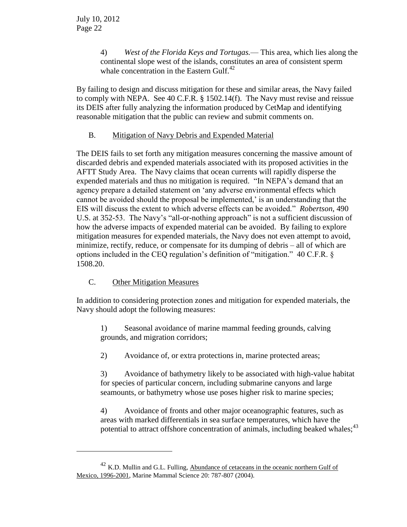4) *West of the Florida Keys and Tortugas.*— This area, which lies along the continental slope west of the islands, constitutes an area of consistent sperm whale concentration in the Eastern Gulf.<sup>42</sup>

By failing to design and discuss mitigation for these and similar areas, the Navy failed to comply with NEPA. See 40 C.F.R. § 1502.14(f). The Navy must revise and reissue its DEIS after fully analyzing the information produced by CetMap and identifying reasonable mitigation that the public can review and submit comments on.

# B. Mitigation of Navy Debris and Expended Material

The DEIS fails to set forth any mitigation measures concerning the massive amount of discarded debris and expended materials associated with its proposed activities in the AFTT Study Area. The Navy claims that ocean currents will rapidly disperse the expended materials and thus no mitigation is required. "In NEPA's demand that an agency prepare a detailed statement on 'any adverse environmental effects which cannot be avoided should the proposal be implemented,' is an understanding that the EIS will discuss the extent to which adverse effects can be avoided." *Robertson*, 490 U.S. at 352-53. The Navy's "all-or-nothing approach" is not a sufficient discussion of how the adverse impacts of expended material can be avoided. By failing to explore mitigation measures for expended materials, the Navy does not even attempt to avoid, minimize, rectify, reduce, or compensate for its dumping of debris – all of which are options included in the CEQ regulation's definition of "mitigation." 40 C.F.R. § 1508.20.

# C. Other Mitigation Measures

 $\overline{a}$ 

In addition to considering protection zones and mitigation for expended materials, the Navy should adopt the following measures:

1) Seasonal avoidance of marine mammal feeding grounds, calving grounds, and migration corridors;

2) Avoidance of, or extra protections in, marine protected areas;

3) Avoidance of bathymetry likely to be associated with high-value habitat for species of particular concern, including submarine canyons and large seamounts, or bathymetry whose use poses higher risk to marine species;

4) Avoidance of fronts and other major oceanographic features, such as areas with marked differentials in sea surface temperatures, which have the potential to attract offshore concentration of animals, including beaked whales;<sup>43</sup>

<sup>42</sup> K.D. Mullin and G.L. Fulling, Abundance of cetaceans in the oceanic northern Gulf of Mexico, 1996-2001, Marine Mammal Science 20: 787-807 (2004).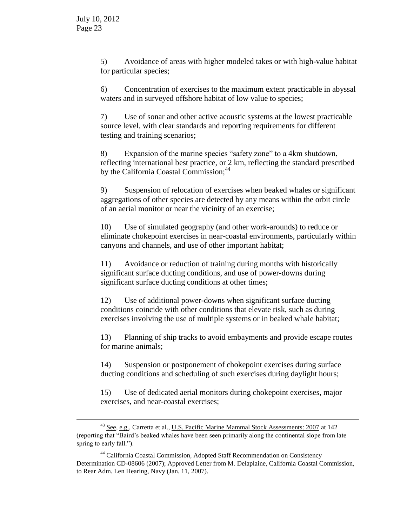$\overline{a}$ 

5) Avoidance of areas with higher modeled takes or with high-value habitat for particular species;

6) Concentration of exercises to the maximum extent practicable in abyssal waters and in surveyed offshore habitat of low value to species;

7) Use of sonar and other active acoustic systems at the lowest practicable source level, with clear standards and reporting requirements for different testing and training scenarios;

8) Expansion of the marine species "safety zone" to a 4km shutdown, reflecting international best practice, or 2 km, reflecting the standard prescribed by the California Coastal Commission;<sup>44</sup>

9) Suspension of relocation of exercises when beaked whales or significant aggregations of other species are detected by any means within the orbit circle of an aerial monitor or near the vicinity of an exercise;

10) Use of simulated geography (and other work-arounds) to reduce or eliminate chokepoint exercises in near-coastal environments, particularly within canyons and channels, and use of other important habitat;

11) Avoidance or reduction of training during months with historically significant surface ducting conditions, and use of power-downs during significant surface ducting conditions at other times;

12) Use of additional power-downs when significant surface ducting conditions coincide with other conditions that elevate risk, such as during exercises involving the use of multiple systems or in beaked whale habitat;

13) Planning of ship tracks to avoid embayments and provide escape routes for marine animals;

14) Suspension or postponement of chokepoint exercises during surface ducting conditions and scheduling of such exercises during daylight hours;

15) Use of dedicated aerial monitors during chokepoint exercises, major exercises, and near-coastal exercises;

<sup>&</sup>lt;sup>43</sup> See, e.g., Carretta et al., U.S. Pacific Marine Mammal Stock Assessments: 2007 at 142 (reporting that "Baird's beaked whales have been seen primarily along the continental slope from late spring to early fall.").

<sup>44</sup> California Coastal Commission, Adopted Staff Recommendation on Consistency Determination CD-08606 (2007); Approved Letter from M. Delaplaine, California Coastal Commission, to Rear Adm. Len Hearing, Navy (Jan. 11, 2007).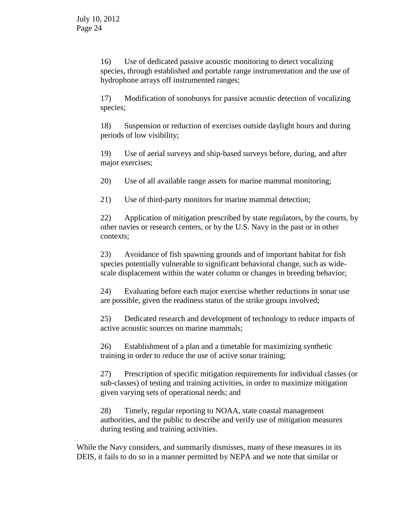16) Use of dedicated passive acoustic monitoring to detect vocalizing species, through established and portable range instrumentation and the use of hydrophone arrays off instrumented ranges;

17) Modification of sonobuoys for passive acoustic detection of vocalizing species;

18) Suspension or reduction of exercises outside daylight hours and during periods of low visibility;

19) Use of aerial surveys and ship-based surveys before, during, and after major exercises;

20) Use of all available range assets for marine mammal monitoring;

21) Use of third-party monitors for marine mammal detection;

22) Application of mitigation prescribed by state regulators, by the courts, by other navies or research centers, or by the U.S. Navy in the past or in other contexts;

23) Avoidance of fish spawning grounds and of important habitat for fish species potentially vulnerable to significant behavioral change, such as widescale displacement within the water column or changes in breeding behavior;

24) Evaluating before each major exercise whether reductions in sonar use are possible, given the readiness status of the strike groups involved;

25) Dedicated research and development of technology to reduce impacts of active acoustic sources on marine mammals;

26) Establishment of a plan and a timetable for maximizing synthetic training in order to reduce the use of active sonar training;

27) Prescription of specific mitigation requirements for individual classes (or sub-classes) of testing and training activities, in order to maximize mitigation given varying sets of operational needs; and

28) Timely, regular reporting to NOAA, state coastal management authorities, and the public to describe and verify use of mitigation measures during testing and training activities.

While the Navy considers, and summarily dismisses, many of these measures in its DEIS, it fails to do so in a manner permitted by NEPA and we note that similar or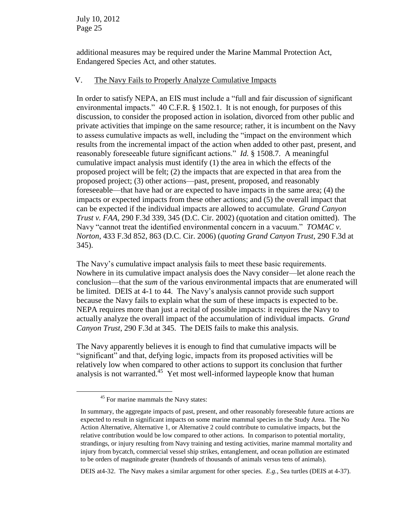additional measures may be required under the Marine Mammal Protection Act, Endangered Species Act, and other statutes.

## V. The Navy Fails to Properly Analyze Cumulative Impacts

In order to satisfy NEPA, an EIS must include a "full and fair discussion of significant environmental impacts." 40 C.F.R. § 1502.1. It is not enough, for purposes of this discussion, to consider the proposed action in isolation, divorced from other public and private activities that impinge on the same resource; rather, it is incumbent on the Navy to assess cumulative impacts as well, including the "impact on the environment which results from the incremental impact of the action when added to other past, present, and reasonably foreseeable future significant actions." *Id.* § 1508.7. A meaningful cumulative impact analysis must identify (1) the area in which the effects of the proposed project will be felt; (2) the impacts that are expected in that area from the proposed project; (3) other actions—past, present, proposed, and reasonably foreseeable—that have had or are expected to have impacts in the same area; (4) the impacts or expected impacts from these other actions; and (5) the overall impact that can be expected if the individual impacts are allowed to accumulate. *Grand Canyon Trust v. FAA*, 290 F.3d 339, 345 (D.C. Cir. 2002) (quotation and citation omitted). The Navy "cannot treat the identified environmental concern in a vacuum." *TOMAC v. Norton*, 433 F.3d 852, 863 (D.C. Cir. 2006) (*quoting Grand Canyon Trust*, 290 F.3d at 345).

The Navy's cumulative impact analysis fails to meet these basic requirements. Nowhere in its cumulative impact analysis does the Navy consider—let alone reach the conclusion—that the *sum* of the various environmental impacts that are enumerated will be limited. DEIS at 4-1 to 44. The Navy's analysis cannot provide such support because the Navy fails to explain what the sum of these impacts is expected to be. NEPA requires more than just a recital of possible impacts: it requires the Navy to actually analyze the overall impact of the accumulation of individual impacts. *Grand Canyon Trust*, 290 F.3d at 345. The DEIS fails to make this analysis.

The Navy apparently believes it is enough to find that cumulative impacts will be "significant" and that, defying logic, impacts from its proposed activities will be relatively low when compared to other actions to support its conclusion that further analysis is not warranted.<sup>45</sup> Yet most well-informed laypeople know that human

 $\overline{a}$ 

DEIS at4-32. The Navy makes a similar argument for other species. *E.g.*, Sea turtles (DEIS at 4-37).

<sup>&</sup>lt;sup>45</sup> For marine mammals the Navy states:

In summary, the aggregate impacts of past, present, and other reasonably foreseeable future actions are expected to result in significant impacts on some marine mammal species in the Study Area. The No Action Alternative, Alternative 1, or Alternative 2 could contribute to cumulative impacts, but the relative contribution would be low compared to other actions. In comparison to potential mortality, strandings, or injury resulting from Navy training and testing activities, marine mammal mortality and injury from bycatch, commercial vessel ship strikes, entanglement, and ocean pollution are estimated to be orders of magnitude greater (hundreds of thousands of animals versus tens of animals).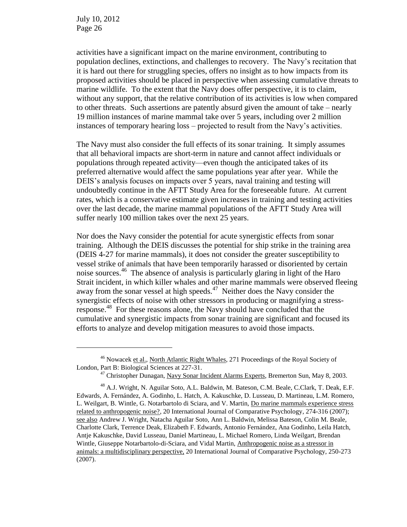$\overline{a}$ 

activities have a significant impact on the marine environment, contributing to population declines, extinctions, and challenges to recovery. The Navy's recitation that it is hard out there for struggling species, offers no insight as to how impacts from its proposed activities should be placed in perspective when assessing cumulative threats to marine wildlife. To the extent that the Navy does offer perspective, it is to claim, without any support, that the relative contribution of its activities is low when compared to other threats. Such assertions are patently absurd given the amount of take – nearly 19 million instances of marine mammal take over 5 years, including over 2 million instances of temporary hearing loss – projected to result from the Navy's activities.

The Navy must also consider the full effects of its sonar training. It simply assumes that all behavioral impacts are short-term in nature and cannot affect individuals or populations through repeated activity—even though the anticipated takes of its preferred alternative would affect the same populations year after year. While the DEIS's analysis focuses on impacts over 5 years, naval training and testing will undoubtedly continue in the AFTT Study Area for the foreseeable future. At current rates, which is a conservative estimate given increases in training and testing activities over the last decade, the marine mammal populations of the AFTT Study Area will suffer nearly 100 million takes over the next 25 years.

Nor does the Navy consider the potential for acute synergistic effects from sonar training. Although the DEIS discusses the potential for ship strike in the training area (DEIS 4-27 for marine mammals), it does not consider the greater susceptibility to vessel strike of animals that have been temporarily harassed or disoriented by certain noise sources.<sup>46</sup> The absence of analysis is particularly glaring in light of the Haro Strait incident, in which killer whales and other marine mammals were observed fleeing away from the sonar vessel at high speeds. $47$  Neither does the Navy consider the synergistic effects of noise with other stressors in producing or magnifying a stressresponse.<sup>48</sup> For these reasons alone, the Navy should have concluded that the cumulative and synergistic impacts from sonar training are significant and focused its efforts to analyze and develop mitigation measures to avoid those impacts.

<sup>46</sup> Nowacek et al., North Atlantic Right Whales, 271 Proceedings of the Royal Society of London, Part B: Biological Sciences at 227-31.

<sup>&</sup>lt;sup>47</sup> Christopher Dunagan, Navy Sonar Incident Alarms Experts, Bremerton Sun, May 8, 2003.

<sup>&</sup>lt;sup>48</sup> A.J. Wright, N. Aguilar Soto, A.L. Baldwin, M. Bateson, C.M. Beale, C.Clark, T. Deak, E.F. Edwards, A. Fernández, A. Godinho, L. Hatch, A. Kakuschke, D. Lusseau, D. Martineau, L.M. Romero, L. Weilgart, B. Wintle, G. Notarbartolo di Sciara, and V. Martin, Do marine mammals experience stress related to anthropogenic noise?, 20 International Journal of Comparative Psychology, 274-316 (2007); see also Andrew J. Wright, Natacha Aguilar Soto, Ann L. Baldwin, Melissa Bateson, Colin M. Beale, Charlotte Clark, Terrence Deak, Elizabeth F. Edwards, Antonio Fernández, Ana Godinho, Leila Hatch, Antje Kakuschke, David Lusseau, Daniel Martineau, L. Michael Romero, Linda Weilgart, Brendan Wintle, Giuseppe Notarbartolo-di-Sciara, and Vidal Martin, Anthropogenic noise as a stressor in animals: a multidisciplinary perspective, 20 International Journal of Comparative Psychology, 250-273 (2007).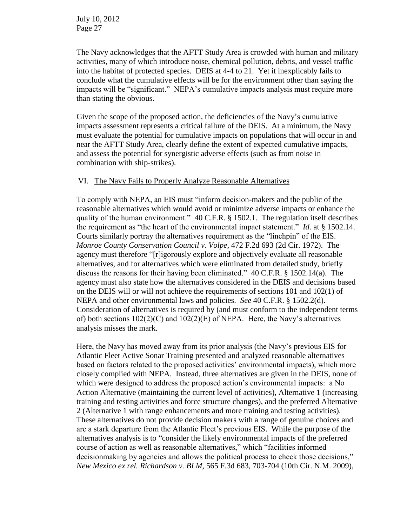The Navy acknowledges that the AFTT Study Area is crowded with human and military activities, many of which introduce noise, chemical pollution, debris, and vessel traffic into the habitat of protected species. DEIS at 4-4 to 21. Yet it inexplicably fails to conclude what the cumulative effects will be for the environment other than saying the impacts will be "significant." NEPA's cumulative impacts analysis must require more than stating the obvious.

Given the scope of the proposed action, the deficiencies of the Navy's cumulative impacts assessment represents a critical failure of the DEIS. At a minimum, the Navy must evaluate the potential for cumulative impacts on populations that will occur in and near the AFTT Study Area, clearly define the extent of expected cumulative impacts, and assess the potential for synergistic adverse effects (such as from noise in combination with ship-strikes).

### VI. The Navy Fails to Properly Analyze Reasonable Alternatives

To comply with NEPA, an EIS must "inform decision-makers and the public of the reasonable alternatives which would avoid or minimize adverse impacts or enhance the quality of the human environment." 40 C.F.R. § 1502.1. The regulation itself describes the requirement as "the heart of the environmental impact statement." *Id.* at § 1502.14. Courts similarly portray the alternatives requirement as the "linchpin" of the EIS. *Monroe County Conservation Council v. Volpe*, 472 F.2d 693 (2d Cir. 1972). The agency must therefore "[r]igorously explore and objectively evaluate all reasonable alternatives, and for alternatives which were eliminated from detailed study, briefly discuss the reasons for their having been eliminated." 40 C.F.R. § 1502.14(a). The agency must also state how the alternatives considered in the DEIS and decisions based on the DEIS will or will not achieve the requirements of sections 101 and 102(1) of NEPA and other environmental laws and policies. *See* 40 C.F.R. § 1502.2(d). Consideration of alternatives is required by (and must conform to the independent terms of) both sections 102(2)(C) and 102(2)(E) of NEPA. Here, the Navy's alternatives analysis misses the mark.

Here, the Navy has moved away from its prior analysis (the Navy's previous EIS for Atlantic Fleet Active Sonar Training presented and analyzed reasonable alternatives based on factors related to the proposed activities' environmental impacts), which more closely complied with NEPA. Instead, three alternatives are given in the DEIS, none of which were designed to address the proposed action's environmental impacts: a No Action Alternative (maintaining the current level of activities), Alternative 1 (increasing training and testing activities and force structure changes), and the preferred Alternative 2 (Alternative 1 with range enhancements and more training and testing activities). These alternatives do not provide decision makers with a range of genuine choices and are a stark departure from the Atlantic Fleet's previous EIS. While the purpose of the alternatives analysis is to "consider the likely environmental impacts of the preferred course of action as well as reasonable alternatives," which "facilities informed decisionmaking by agencies and allows the political process to check those decisions," *New Mexico ex rel. Richardson v. BLM,* 565 F.3d 683, 703-704 (10th Cir. N.M. 2009),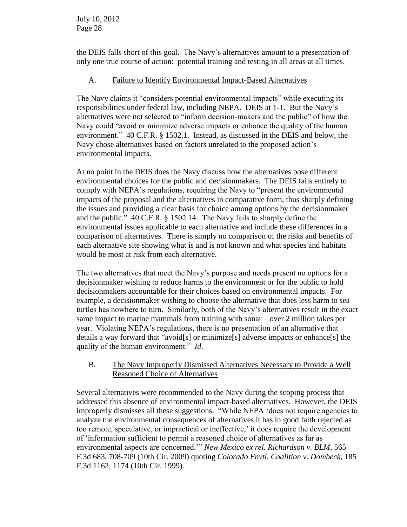the DEIS falls short of this goal. The Navy's alternatives amount to a presentation of only one true course of action: potential training and testing in all areas at all times.

# A. Failure to Identify Environmental Impact-Based Alternatives

The Navy claims it "considers potential environmental impacts" while executing its responsibilities under federal law, including NEPA. DEIS at 1-1. But the Navy's alternatives were not selected to "inform decision-makers and the public" of how the Navy could "avoid or minimize adverse impacts or enhance the quality of the human environment." 40 C.F.R. § 1502.1. Instead, as discussed in the DEIS and below, the Navy chose alternatives based on factors unrelated to the proposed action's environmental impacts.

At no point in the DEIS does the Navy discuss how the alternatives pose different environmental choices for the public and decisionmakers. The DEIS fails entirely to comply with NEPA's regulations, requiring the Navy to "present the environmental impacts of the proposal and the alternatives in comparative form, thus sharply defining the issues and providing a clear basis for choice among options by the decisionmaker and the public." 40 C.F.R. § 1502.14. The Navy fails to sharply define the environmental issues applicable to each alternative and include these differences in a comparison of alternatives. There is simply no comparison of the risks and benefits of each alternative site showing what is and is not known and what species and habitats would be most at risk from each alternative.

The two alternatives that meet the Navy's purpose and needs present no options for a decisionmaker wishing to reduce harms to the environment or for the public to hold decisionmakers accountable for their choices based on environmental impacts. For example, a decisionmaker wishing to choose the alternative that does less harm to sea turtles has nowhere to turn. Similarly, both of the Navy's alternatives result in the exact same impact to marine mammals from training with sonar – over 2 million takes per year. Violating NEPA's regulations, there is no presentation of an alternative that details a way forward that "avoid[s] or minimize[s] adverse impacts or enhance[s] the quality of the human environment." *Id*.

# B. The Navy Improperly Dismissed Alternatives Necessary to Provide a Well Reasoned Choice of Alternatives

Several alternatives were recommended to the Navy during the scoping process that addressed this absence of environmental impact-based alternatives. However, the DEIS improperly dismisses all these suggestions. "While NEPA 'does not require agencies to analyze the environmental consequences of alternatives it has in good faith rejected as too remote, speculative, or impractical or ineffective,' it does require the development of 'information sufficient to permit a reasoned choice of alternatives as far as environmental aspects are concerned.'" *New Mexico ex rel. Richardson v. BLM*, 565 F.3d 683, 708-709 (10th Cir. 2009) quoting *Colorado Envtl. Coalition v. Dombeck*, 185 F.3d 1162, 1174 (10th Cir. 1999).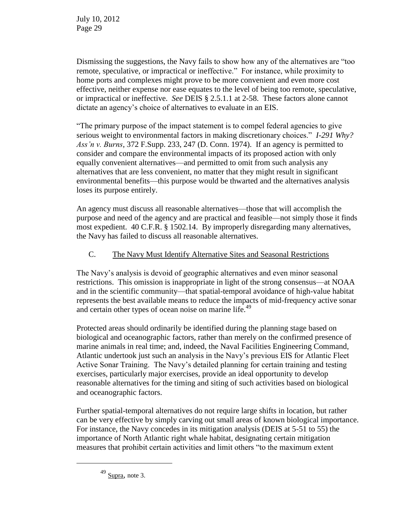Dismissing the suggestions, the Navy fails to show how any of the alternatives are "too remote, speculative, or impractical or ineffective." For instance, while proximity to home ports and complexes might prove to be more convenient and even more cost effective, neither expense nor ease equates to the level of being too remote, speculative, or impractical or ineffective. *See* DEIS § 2.5.1.1 at 2-58. These factors alone cannot dictate an agency's choice of alternatives to evaluate in an EIS.

"The primary purpose of the impact statement is to compel federal agencies to give serious weight to environmental factors in making discretionary choices." *I-291 Why? Ass'n v. Burns*, 372 F.Supp. 233, 247 (D. Conn. 1974). If an agency is permitted to consider and compare the environmental impacts of its proposed action with only equally convenient alternatives—and permitted to omit from such analysis any alternatives that are less convenient, no matter that they might result in significant environmental benefits—this purpose would be thwarted and the alternatives analysis loses its purpose entirely.

An agency must discuss all reasonable alternatives—those that will accomplish the purpose and need of the agency and are practical and feasible—not simply those it finds most expedient. 40 C.F.R. § 1502.14. By improperly disregarding many alternatives, the Navy has failed to discuss all reasonable alternatives.

# C. The Navy Must Identify Alternative Sites and Seasonal Restrictions

The Navy's analysis is devoid of geographic alternatives and even minor seasonal restrictions. This omission is inappropriate in light of the strong consensus—at NOAA and in the scientific community—that spatial-temporal avoidance of high-value habitat represents the best available means to reduce the impacts of mid-frequency active sonar and certain other types of ocean noise on marine life.<sup>49</sup>

Protected areas should ordinarily be identified during the planning stage based on biological and oceanographic factors, rather than merely on the confirmed presence of marine animals in real time; and, indeed, the Naval Facilities Engineering Command, Atlantic undertook just such an analysis in the Navy's previous EIS for Atlantic Fleet Active Sonar Training. The Navy's detailed planning for certain training and testing exercises, particularly major exercises, provide an ideal opportunity to develop reasonable alternatives for the timing and siting of such activities based on biological and oceanographic factors.

Further spatial-temporal alternatives do not require large shifts in location, but rather can be very effective by simply carving out small areas of known biological importance. For instance, the Navy concedes in its mitigation analysis (DEIS at 5-51 to 55) the importance of North Atlantic right whale habitat, designating certain mitigation measures that prohibit certain activities and limit others "to the maximum extent

 $\overline{a}$ 

 $49$  Supra, note 3.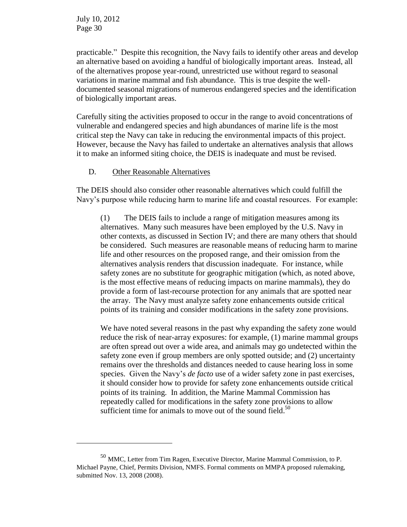$\overline{a}$ 

practicable." Despite this recognition, the Navy fails to identify other areas and develop an alternative based on avoiding a handful of biologically important areas. Instead, all of the alternatives propose year-round, unrestricted use without regard to seasonal variations in marine mammal and fish abundance. This is true despite the welldocumented seasonal migrations of numerous endangered species and the identification of biologically important areas.

Carefully siting the activities proposed to occur in the range to avoid concentrations of vulnerable and endangered species and high abundances of marine life is the most critical step the Navy can take in reducing the environmental impacts of this project. However, because the Navy has failed to undertake an alternatives analysis that allows it to make an informed siting choice, the DEIS is inadequate and must be revised.

### D. Other Reasonable Alternatives

The DEIS should also consider other reasonable alternatives which could fulfill the Navy's purpose while reducing harm to marine life and coastal resources. For example:

(1) The DEIS fails to include a range of mitigation measures among its alternatives. Many such measures have been employed by the U.S. Navy in other contexts, as discussed in Section IV; and there are many others that should be considered. Such measures are reasonable means of reducing harm to marine life and other resources on the proposed range, and their omission from the alternatives analysis renders that discussion inadequate. For instance, while safety zones are no substitute for geographic mitigation (which, as noted above, is the most effective means of reducing impacts on marine mammals), they do provide a form of last-recourse protection for any animals that are spotted near the array. The Navy must analyze safety zone enhancements outside critical points of its training and consider modifications in the safety zone provisions.

We have noted several reasons in the past why expanding the safety zone would reduce the risk of near-array exposures: for example, (1) marine mammal groups are often spread out over a wide area, and animals may go undetected within the safety zone even if group members are only spotted outside; and (2) uncertainty remains over the thresholds and distances needed to cause hearing loss in some species. Given the Navy's *de facto* use of a wider safety zone in past exercises, it should consider how to provide for safety zone enhancements outside critical points of its training. In addition, the Marine Mammal Commission has repeatedly called for modifications in the safety zone provisions to allow sufficient time for animals to move out of the sound field.<sup>50</sup>

<sup>50</sup> MMC, Letter from Tim Ragen, Executive Director, Marine Mammal Commission, to P. Michael Payne, Chief, Permits Division, NMFS. Formal comments on MMPA proposed rulemaking, submitted Nov. 13, 2008 (2008).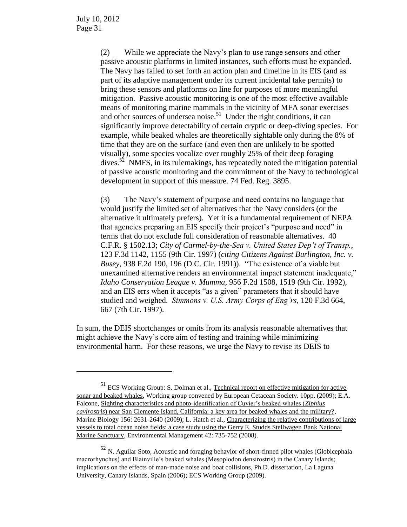$\overline{a}$ 

(2) While we appreciate the Navy's plan to use range sensors and other passive acoustic platforms in limited instances, such efforts must be expanded. The Navy has failed to set forth an action plan and timeline in its EIS (and as part of its adaptive management under its current incidental take permits) to bring these sensors and platforms on line for purposes of more meaningful mitigation. Passive acoustic monitoring is one of the most effective available means of monitoring marine mammals in the vicinity of MFA sonar exercises and other sources of undersea noise.<sup>51</sup> Under the right conditions, it can significantly improve detectability of certain cryptic or deep-diving species. For example, while beaked whales are theoretically sightable only during the 8% of time that they are on the surface (and even then are unlikely to be spotted visually), some species vocalize over roughly 25% of their deep foraging dives. 52 NMFS, in its rulemakings, has repeatedly noted the mitigation potential of passive acoustic monitoring and the commitment of the Navy to technological development in support of this measure. 74 Fed. Reg. 3895.

(3) The Navy's statement of purpose and need contains no language that would justify the limited set of alternatives that the Navy considers (or the alternative it ultimately prefers). Yet it is a fundamental requirement of NEPA that agencies preparing an EIS specify their project's "purpose and need" in terms that do not exclude full consideration of reasonable alternatives. 40 C.F.R. § 1502.13; *City of Carmel-by-the-Sea v. United States Dep't of Transp.*, 123 F.3d 1142, 1155 (9th Cir. 1997) (*citing Citizens Against Burlington, Inc. v. Busey*, 938 F.2d 190, 196 (D.C. Cir. 1991)). "The existence of a viable but unexamined alternative renders an environmental impact statement inadequate," *Idaho Conservation League v. Mumma*, 956 F.2d 1508, 1519 (9th Cir. 1992), and an EIS errs when it accepts "as a given" parameters that it should have studied and weighed. *Simmons v. U.S. Army Corps of Eng'rs*, 120 F.3d 664, 667 (7th Cir. 1997).

In sum, the DEIS shortchanges or omits from its analysis reasonable alternatives that might achieve the Navy's core aim of testing and training while minimizing environmental harm. For these reasons, we urge the Navy to revise its DEIS to

<sup>&</sup>lt;sup>51</sup> ECS Working Group: S. Dolman et al., Technical report on effective mitigation for active sonar and beaked whales, Working group convened by European Cetacean Society. 10pp. (2009); E.A. Falcone, Sighting characteristics and photo-identification of Cuvier's beaked whales (*Ziphius cavirostris*) near San Clemente Island, California: a key area for beaked whales and the military?, Marine Biology 156: 2631-2640 (2009); L. Hatch et al., Characterizing the relative contributions of large vessels to total ocean noise fields: a case study using the Gerry E. Studds Stellwagen Bank National Marine Sanctuary, Environmental Management 42: 735-752 (2008).

<sup>&</sup>lt;sup>52</sup> N. Aguilar Soto, Acoustic and foraging behavior of short-finned pilot whales (Globicephala macrorhynchus) and Blainville's beaked whales (Mesoplodon densirostris) in the Canary Islands; implications on the effects of man-made noise and boat collisions, Ph.D. dissertation, La Laguna University, Canary Islands, Spain (2006); ECS Working Group (2009).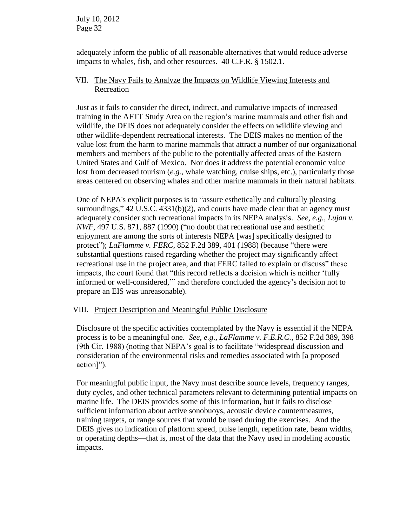adequately inform the public of all reasonable alternatives that would reduce adverse impacts to whales, fish, and other resources. 40 C.F.R. § 1502.1.

#### VII. The Navy Fails to Analyze the Impacts on Wildlife Viewing Interests and Recreation

Just as it fails to consider the direct, indirect, and cumulative impacts of increased training in the AFTT Study Area on the region's marine mammals and other fish and wildlife, the DEIS does not adequately consider the effects on wildlife viewing and other wildlife-dependent recreational interests. The DEIS makes no mention of the value lost from the harm to marine mammals that attract a number of our organizational members and members of the public to the potentially affected areas of the Eastern United States and Gulf of Mexico. Nor does it address the potential economic value lost from decreased tourism (*e.g.,* whale watching, cruise ships, etc.), particularly those areas centered on observing whales and other marine mammals in their natural habitats.

One of NEPA's explicit purposes is to "assure esthetically and culturally pleasing surroundings," 42 U.S.C. 4331(b)(2), and courts have made clear that an agency must adequately consider such recreational impacts in its NEPA analysis. *See, e.g., Lujan v. NWF*, 497 U.S. 871, 887 (1990) ("no doubt that recreational use and aesthetic enjoyment are among the sorts of interests NEPA [was] specifically designed to protect"); *LaFlamme v. FERC*, 852 F.2d 389, 401 (1988) (because "there were substantial questions raised regarding whether the project may significantly affect recreational use in the project area, and that FERC failed to explain or discuss" these impacts, the court found that "this record reflects a decision which is neither 'fully informed or well-considered,'" and therefore concluded the agency's decision not to prepare an EIS was unreasonable).

# VIII. Project Description and Meaningful Public Disclosure

Disclosure of the specific activities contemplated by the Navy is essential if the NEPA process is to be a meaningful one. *See, e.g., LaFlamme v. F.E.R.C.*, 852 F.2d 389, 398 (9th Cir. 1988) (noting that NEPA's goal is to facilitate "widespread discussion and consideration of the environmental risks and remedies associated with [a proposed action]").

For meaningful public input, the Navy must describe source levels, frequency ranges, duty cycles, and other technical parameters relevant to determining potential impacts on marine life. The DEIS provides some of this information, but it fails to disclose sufficient information about active sonobuoys, acoustic device countermeasures, training targets, or range sources that would be used during the exercises. And the DEIS gives no indication of platform speed, pulse length, repetition rate, beam widths, or operating depths—that is, most of the data that the Navy used in modeling acoustic impacts.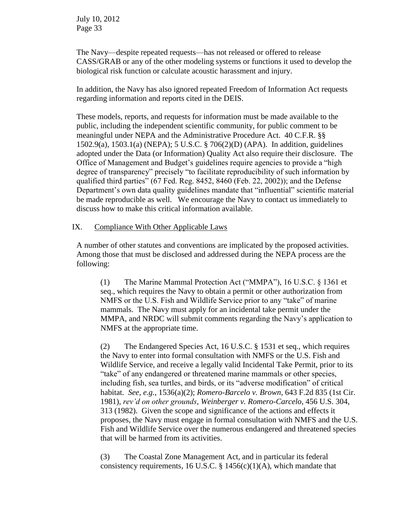The Navy—despite repeated requests—has not released or offered to release CASS/GRAB or any of the other modeling systems or functions it used to develop the biological risk function or calculate acoustic harassment and injury.

In addition, the Navy has also ignored repeated Freedom of Information Act requests regarding information and reports cited in the DEIS.

These models, reports, and requests for information must be made available to the public, including the independent scientific community, for public comment to be meaningful under NEPA and the Administrative Procedure Act. 40 C.F.R. §§ 1502.9(a), 1503.1(a) (NEPA); 5 U.S.C. § 706(2)(D) (APA). In addition, guidelines adopted under the Data (or Information) Quality Act also require their disclosure. The Office of Management and Budget's guidelines require agencies to provide a "high degree of transparency" precisely "to facilitate reproducibility of such information by qualified third parties" (67 Fed. Reg. 8452, 8460 (Feb. 22, 2002)); and the Defense Department's own data quality guidelines mandate that "influential" scientific material be made reproducible as well. We encourage the Navy to contact us immediately to discuss how to make this critical information available.

#### IX. Compliance With Other Applicable Laws

A number of other statutes and conventions are implicated by the proposed activities. Among those that must be disclosed and addressed during the NEPA process are the following:

(1) The Marine Mammal Protection Act ("MMPA"), 16 U.S.C. § 1361 et seq., which requires the Navy to obtain a permit or other authorization from NMFS or the U.S. Fish and Wildlife Service prior to any "take" of marine mammals. The Navy must apply for an incidental take permit under the MMPA, and NRDC will submit comments regarding the Navy's application to NMFS at the appropriate time.

(2) The Endangered Species Act, 16 U.S.C. § 1531 et seq., which requires the Navy to enter into formal consultation with NMFS or the U.S. Fish and Wildlife Service, and receive a legally valid Incidental Take Permit, prior to its "take" of any endangered or threatened marine mammals or other species, including fish, sea turtles, and birds, or its "adverse modification" of critical habitat. *See, e.g.*, 1536(a)(2); *Romero-Barcelo v. Brown*, 643 F.2d 835 (1st Cir. 1981), *rev'd on other grounds*, *Weinberger v. Romero-Carcelo*, 456 U.S. 304, 313 (1982). Given the scope and significance of the actions and effects it proposes, the Navy must engage in formal consultation with NMFS and the U.S. Fish and Wildlife Service over the numerous endangered and threatened species that will be harmed from its activities.

(3) The Coastal Zone Management Act, and in particular its federal consistency requirements, 16 U.S.C. § 1456(c)(1)(A), which mandate that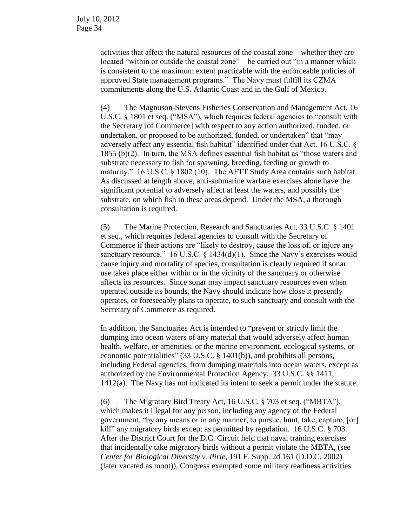activities that affect the natural resources of the coastal zone—whether they are located "within or outside the coastal zone"—be carried out "in a manner which is consistent to the maximum extent practicable with the enforceable policies of approved State management programs." The Navy must fulfill its CZMA commitments along the U.S. Atlantic Coast and in the Gulf of Mexico.

(4) The Magnuson-Stevens Fisheries Conservation and Management Act, 16 U.S.C. § 1801 et seq. ("MSA"), which requires federal agencies to "consult with the Secretary [of Commerce] with respect to any action authorized, funded, or undertaken, or proposed to be authorized, funded, or undertaken" that "may adversely affect any essential fish habitat" identified under that Act. 16 U.S.C. § 1855 (b)(2). In turn, the MSA defines essential fish habitat as "those waters and substrate necessary to fish for spawning, breeding, feeding or growth to maturity." 16 U.S.C. § 1802 (10). The AFTT Study Area contains such habitat. As discussed at length above, anti-submarine warfare exercises alone have the significant potential to adversely affect at least the waters, and possibly the substrate, on which fish in these areas depend. Under the MSA, a thorough consultation is required.

(5) The Marine Protection, Research and Sanctuaries Act, 33 U.S.C. § 1401 et seq., which requires federal agencies to consult with the Secretary of Commerce if their actions are "likely to destroy, cause the loss of, or injure any sanctuary resource." 16 U.S.C. § 1434(d)(1). Since the Navy's exercises would cause injury and mortality of species, consultation is clearly required if sonar use takes place either within or in the vicinity of the sanctuary or otherwise affects its resources. Since sonar may impact sanctuary resources even when operated outside its bounds, the Navy should indicate how close it presently operates, or foreseeably plans to operate, to such sanctuary and consult with the Secretary of Commerce as required.

In addition, the Sanctuaries Act is intended to "prevent or strictly limit the dumping into ocean waters of any material that would adversely affect human health, welfare, or amenities, or the marine environment, ecological systems, or economic potentialities" (33 U.S.C. § 1401(b)), and prohibits all persons, including Federal agencies, from dumping materials into ocean waters, except as authorized by the Environmental Protection Agency. 33 U.S.C. §§ 1411, 1412(a). The Navy has not indicated its intent to seek a permit under the statute.

(6) The Migratory Bird Treaty Act, 16 U.S.C. § 703 et seq. ("MBTA"), which makes it illegal for any person, including any agency of the Federal government, "by any means or in any manner, to pursue, hunt, take, capture, [or] kill" any migratory birds except as permitted by regulation. 16 U.S.C. § 703. After the District Court for the D.C. Circuit held that naval training exercises that incidentally take migratory birds without a permit violate the MBTA, (see *Center for Biological Diversity v. Pirie*, 191 F. Supp. 2d 161 (D.D.C. 2002) (later vacated as moot)), Congress exempted some military readiness activities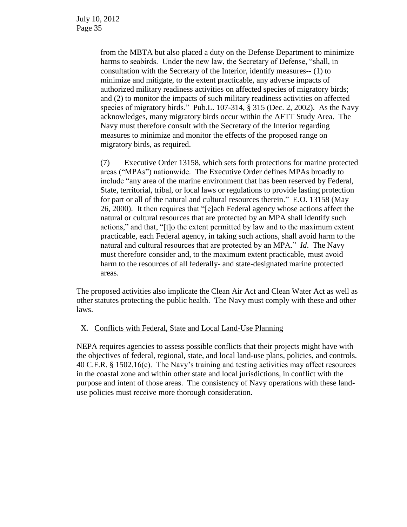from the MBTA but also placed a duty on the Defense Department to minimize harms to seabirds. Under the new law, the Secretary of Defense, "shall, in consultation with the Secretary of the Interior, identify measures-- (1) to minimize and mitigate, to the extent practicable, any adverse impacts of authorized military readiness activities on affected species of migratory birds; and (2) to monitor the impacts of such military readiness activities on affected species of migratory birds." Pub.L. 107-314, § 315 (Dec. 2, 2002). As the Navy acknowledges, many migratory birds occur within the AFTT Study Area. The Navy must therefore consult with the Secretary of the Interior regarding measures to minimize and monitor the effects of the proposed range on migratory birds, as required.

(7) Executive Order 13158, which sets forth protections for marine protected areas ("MPAs") nationwide. The Executive Order defines MPAs broadly to include "any area of the marine environment that has been reserved by Federal, State, territorial, tribal, or local laws or regulations to provide lasting protection for part or all of the natural and cultural resources therein." E.O. 13158 (May 26, 2000). It then requires that "[e]ach Federal agency whose actions affect the natural or cultural resources that are protected by an MPA shall identify such actions," and that, "[t]o the extent permitted by law and to the maximum extent practicable, each Federal agency, in taking such actions, shall avoid harm to the natural and cultural resources that are protected by an MPA." *Id*. The Navy must therefore consider and, to the maximum extent practicable, must avoid harm to the resources of all federally- and state-designated marine protected areas.

The proposed activities also implicate the Clean Air Act and Clean Water Act as well as other statutes protecting the public health. The Navy must comply with these and other laws.

# X. Conflicts with Federal, State and Local Land-Use Planning

NEPA requires agencies to assess possible conflicts that their projects might have with the objectives of federal, regional, state, and local land-use plans, policies, and controls. 40 C.F.R. § 1502.16(c). The Navy's training and testing activities may affect resources in the coastal zone and within other state and local jurisdictions, in conflict with the purpose and intent of those areas. The consistency of Navy operations with these landuse policies must receive more thorough consideration.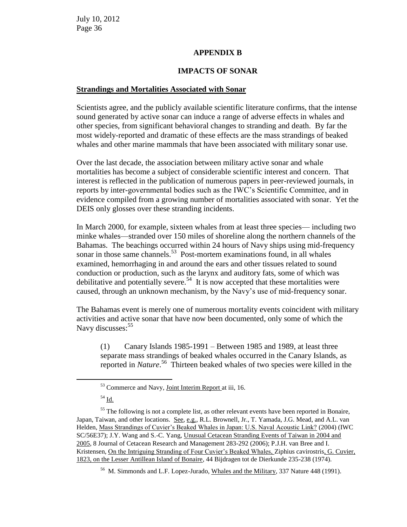#### **APPENDIX B**

#### **IMPACTS OF SONAR**

#### **Strandings and Mortalities Associated with Sonar**

Scientists agree, and the publicly available scientific literature confirms, that the intense sound generated by active sonar can induce a range of adverse effects in whales and other species, from significant behavioral changes to stranding and death. By far the most widely-reported and dramatic of these effects are the mass strandings of beaked whales and other marine mammals that have been associated with military sonar use.

Over the last decade, the association between military active sonar and whale mortalities has become a subject of considerable scientific interest and concern. That interest is reflected in the publication of numerous papers in peer-reviewed journals, in reports by inter-governmental bodies such as the IWC's Scientific Committee, and in evidence compiled from a growing number of mortalities associated with sonar. Yet the DEIS only glosses over these stranding incidents.

In March 2000, for example, sixteen whales from at least three species— including two minke whales—stranded over 150 miles of shoreline along the northern channels of the Bahamas. The beachings occurred within 24 hours of Navy ships using mid-frequency sonar in those same channels.<sup>53</sup> Post-mortem examinations found, in all whales examined, hemorrhaging in and around the ears and other tissues related to sound conduction or production, such as the larynx and auditory fats, some of which was debilitative and potentially severe.<sup>54</sup> It is now accepted that these mortalities were caused, through an unknown mechanism, by the Navy's use of mid-frequency sonar.

The Bahamas event is merely one of numerous mortality events coincident with military activities and active sonar that have now been documented, only some of which the Navy discusses:<sup>55</sup>

(1) Canary Islands 1985-1991 – Between 1985 and 1989, at least three separate mass strandings of beaked whales occurred in the Canary Islands, as reported in *Nature*. 56 Thirteen beaked whales of two species were killed in the

 $\overline{a}$ 

<sup>53</sup> Commerce and Navy, Joint Interim Report at iii, 16.

 $54 \underline{\mathsf{Id}}$ .

 $55$  The following is not a complete list, as other relevant events have been reported in Bonaire, Japan, Taiwan, and other locations. See, e.g., R.L. Brownell, Jr., T. Yamada, J.G. Mead, and A.L. van Helden, Mass Strandings of Cuvier's Beaked Whales in Japan: U.S. Naval Acoustic Link? (2004) (IWC SC/56E37); J.Y. Wang and S.-C. Yang, Unusual Cetacean Stranding Events of Taiwan in 2004 and 2005, 8 Journal of Cetacean Research and Management 283-292 (2006); P.J.H. van Bree and I. Kristensen, On the Intriguing Stranding of Four Cuvier's Beaked Whales, Ziphius cavirostris, G. Cuvier, 1823, on the Lesser Antillean Island of Bonaire, 44 Bijdragen tot de Dierkunde 235-238 (1974).

<sup>56</sup> M. Simmonds and L.F. Lopez-Jurado, Whales and the Military, 337 Nature 448 (1991).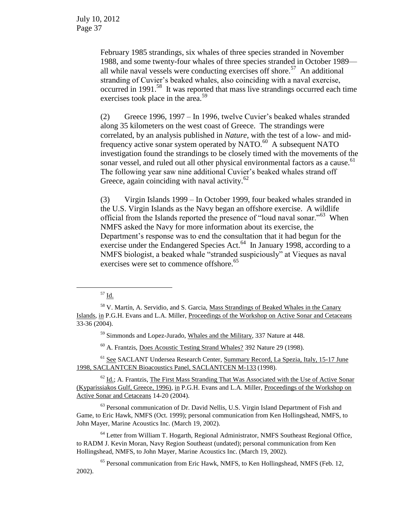> February 1985 strandings, six whales of three species stranded in November 1988, and some twenty-four whales of three species stranded in October 1989 all while naval vessels were conducting exercises off shore.<sup>57</sup> An additional stranding of Cuvier's beaked whales, also coinciding with a naval exercise, occurred in 1991.<sup>58</sup> It was reported that mass live strandings occurred each time exercises took place in the area.<sup>59</sup>

> (2) Greece 1996, 1997 – In 1996, twelve Cuvier's beaked whales stranded along 35 kilometers on the west coast of Greece. The strandings were correlated, by an analysis published in *Nature*, with the test of a low- and midfrequency active sonar system operated by NATO.<sup>60</sup> A subsequent NATO investigation found the strandings to be closely timed with the movements of the sonar vessel, and ruled out all other physical environmental factors as a cause.<sup>61</sup> The following year saw nine additional Cuvier's beaked whales strand off Greece, again coinciding with naval activity. $62$

(3) Virgin Islands 1999 – In October 1999, four beaked whales stranded in the U.S. Virgin Islands as the Navy began an offshore exercise. A wildlife official from the Islands reported the presence of "loud naval sonar."<sup>63</sup> When NMFS asked the Navy for more information about its exercise, the Department's response was to end the consultation that it had begun for the exercise under the Endangered Species Act.<sup>64</sup> In January 1998, according to a NMFS biologist, a beaked whale "stranded suspiciously" at Vieques as naval exercises were set to commence offshore.<sup>65</sup>

 $^{57}$  Id.

 $\overline{a}$ 

<sup>59</sup> Simmonds and Lopez-Jurado, Whales and the Military, 337 Nature at 448.

<sup>60</sup> A. Frantzis, Does Acoustic Testing Strand Whales? 392 Nature 29 (1998).

<sup>61</sup> See SACLANT Undersea Research Center, Summary Record, La Spezia, Italy, 15-17 June 1998, SACLANTCEN Bioacoustics Panel, SACLANTCEN M-133 (1998).

 $62$  Id.; A. Frantzis, The First Mass Stranding That Was Associated with the Use of Active Sonar (Kyparissiakos Gulf, Greece, 1996), in P.G.H. Evans and L.A. Miller, Proceedings of the Workshop on Active Sonar and Cetaceans 14-20 (2004).

<sup>63</sup> Personal communication of Dr. David Nellis, U.S. Virgin Island Department of Fish and Game, to Eric Hawk, NMFS (Oct. 1999); personal communication from Ken Hollingshead, NMFS, to John Mayer, Marine Acoustics Inc. (March 19, 2002).

<sup>64</sup> Letter from William T. Hogarth, Regional Administrator, NMFS Southeast Regional Office, to RADM J. Kevin Moran, Navy Region Southeast (undated); personal communication from Ken Hollingshead, NMFS, to John Mayer, Marine Acoustics Inc. (March 19, 2002).

<sup>65</sup> Personal communication from Eric Hawk, NMFS, to Ken Hollingshead, NMFS (Feb. 12, 2002).

<sup>&</sup>lt;sup>58</sup> V. Martín, A. Servidio, and S. Garcia, Mass Strandings of Beaked Whales in the Canary Islands, in P.G.H. Evans and L.A. Miller, Proceedings of the Workshop on Active Sonar and Cetaceans 33-36 (2004).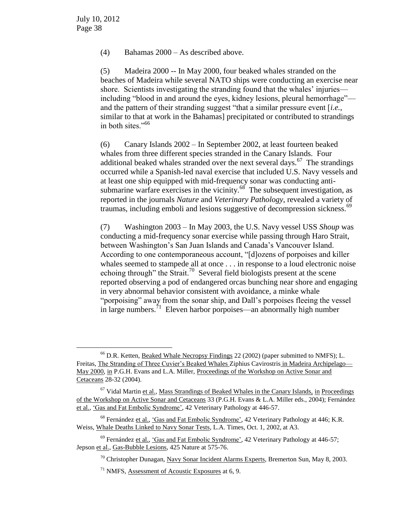$\overline{a}$ 

(4) Bahamas 2000 – As described above.

(5) Madeira 2000 -- In May 2000, four beaked whales stranded on the beaches of Madeira while several NATO ships were conducting an exercise near shore. Scientists investigating the stranding found that the whales' injuries including "blood in and around the eyes, kidney lesions, pleural hemorrhage" and the pattern of their stranding suggest "that a similar pressure event [*i.e.*, similar to that at work in the Bahamas] precipitated or contributed to strandings in both sites."<sup>66</sup>

(6) Canary Islands 2002 – In September 2002, at least fourteen beaked whales from three different species stranded in the Canary Islands. Four additional beaked whales stranded over the next several days.<sup>67</sup> The strandings occurred while a Spanish-led naval exercise that included U.S. Navy vessels and at least one ship equipped with mid-frequency sonar was conducting antisubmarine warfare exercises in the vicinity.<sup>68</sup> The subsequent investigation, as reported in the journals *Nature* and *Veterinary Pathology*, revealed a variety of traumas, including emboli and lesions suggestive of decompression sickness.<sup>69</sup>

(7) Washington 2003 – In May 2003, the U.S. Navy vessel USS *Shoup* was conducting a mid-frequency sonar exercise while passing through Haro Strait, between Washington's San Juan Islands and Canada's Vancouver Island. According to one contemporaneous account, "[d]ozens of porpoises and killer whales seemed to stampede all at once . . . in response to a loud electronic noise echoing through" the Strait.<sup>70</sup> Several field biologists present at the scene reported observing a pod of endangered orcas bunching near shore and engaging in very abnormal behavior consistent with avoidance, a minke whale "porpoising" away from the sonar ship, and Dall's porpoises fleeing the vessel in large numbers.<sup> $71$ </sup> Eleven harbor porpoises—an abnormally high number

 $<sup>66</sup>$  D.R. Ketten, Beaked Whale Necropsy Findings 22 (2002) (paper submitted to NMFS); L.</sup> Freitas, The Stranding of Three Cuvier's Beaked Whales Ziphius Cavirostris in Madeira Archipelago— May 2000, in P.G.H. Evans and L.A. Miller, Proceedings of the Workshop on Active Sonar and Cetaceans 28-32 (2004).

 $67$  Vidal Martin et al., Mass Strandings of Beaked Whales in the Canary Islands, in Proceedings of the Workshop on Active Sonar and Cetaceans 33 (P.G.H. Evans & L.A. Miller eds., 2004); Fernández et al., 'Gas and Fat Embolic Syndrome', 42 Veterinary Pathology at 446-57.

<sup>68</sup> Fernández et al., 'Gas and Fat Embolic Syndrome', 42 Veterinary Pathology at 446; K.R. Weiss, Whale Deaths Linked to Navy Sonar Tests, L.A. Times, Oct. 1, 2002, at A3.

 $69$  Fernández et al., 'Gas and Fat Embolic Syndrome', 42 Veterinary Pathology at 446-57; Jepson et al., Gas-Bubble Lesions, 425 Nature at 575-76.

 $70$  Christopher Dunagan, Navy Sonar Incident Alarms Experts, Bremerton Sun, May 8, 2003.

 $71$  NMFS, Assessment of Acoustic Exposures at 6, 9.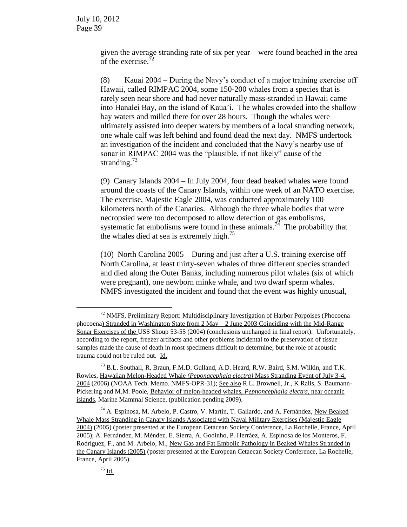given the average stranding rate of six per year—were found beached in the area of the exercise.<sup>72</sup>

(8) Kauai 2004 – During the Navy's conduct of a major training exercise off Hawaii, called RIMPAC 2004, some 150-200 whales from a species that is rarely seen near shore and had never naturally mass-stranded in Hawaii came into Hanalei Bay, on the island of Kaua'i. The whales crowded into the shallow bay waters and milled there for over 28 hours. Though the whales were ultimately assisted into deeper waters by members of a local stranding network, one whale calf was left behind and found dead the next day. NMFS undertook an investigation of the incident and concluded that the Navy's nearby use of sonar in RIMPAC 2004 was the "plausible, if not likely" cause of the stranding. $73$ 

(9) Canary Islands 2004 – In July 2004, four dead beaked whales were found around the coasts of the Canary Islands, within one week of an NATO exercise. The exercise, Majestic Eagle 2004, was conducted approximately 100 kilometers north of the Canaries. Although the three whale bodies that were necropsied were too decomposed to allow detection of gas embolisms, systematic fat embolisms were found in these animals.<sup>74</sup> The probability that the whales died at sea is extremely high.<sup>75</sup>

(10) North Carolina 2005 – During and just after a U.S. training exercise off North Carolina, at least thirty-seven whales of three different species stranded and died along the Outer Banks, including numerous pilot whales (six of which were pregnant), one newborn minke whale, and two dwarf sperm whales. NMFS investigated the incident and found that the event was highly unusual,

 $\overline{a}$ 

 $72$  NMFS, Preliminary Report: Multidisciplinary Investigation of Harbor Porpoises (Phocoena phocoena) Stranded in Washington State from 2 May – 2 June 2003 Coinciding with the Mid-Range Sonar Exercises of the USS Shoup 53-55 (2004) (conclusions unchanged in final report).Unfortunately, according to the report, freezer artifacts and other problems incidental to the preservation of tissue samples made the cause of death in most specimens difficult to determine; but the role of acoustic trauma could not be ruled out. Id.

<sup>73</sup> B.L. Southall, R. Braun, F.M.D. Gulland, A.D. Heard, R.W. Baird, S.M. Wilkin, and T.K. Rowles, Hawaiian Melon-Headed Whale *(Peponacephala electra)* Mass Stranding Event of July 3-4, 2004 (2006) (NOAA Tech. Memo. NMFS-OPR-31); See also R.L. Brownell, Jr., K Ralls, S. Baumann-Pickering and M.M. Poole, Behavior of melon-headed whales, *Pepnoncephalia electra*, near oceanic islands, Marine Mammal Science, (publication pending 2009).

<sup>74</sup> A. Espinosa, M. Arbelo, P. Castro, V. Martín, T. Gallardo, and A. Fernández, New Beaked Whale Mass Stranding in Canary Islands Associated with Naval Military Exercises (Majestic Eagle 2004) (2005) (poster presented at the European Cetacean Society Conference, La Rochelle, France, April 2005); A. Fernández, M. Méndez, E. Sierra, A. Godinho, P. Herráez, A. Espinosa de los Monteros, F. Rodríguez, F., and M. Arbelo, M., New Gas and Fat Embolic Pathology in Beaked Whales Stranded in the Canary Islands (2005) (poster presented at the European Cetaecan Society Conference, La Rochelle, France, April 2005).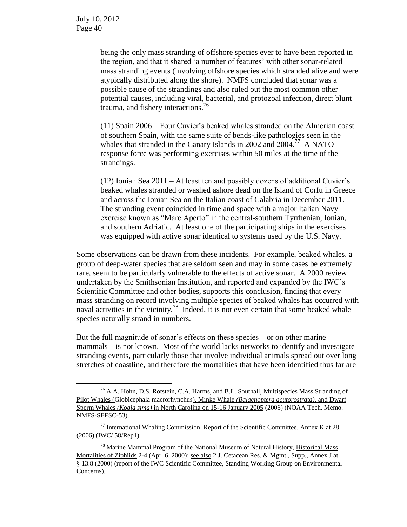$\overline{a}$ 

being the only mass stranding of offshore species ever to have been reported in the region, and that it shared 'a number of features' with other sonar-related mass stranding events (involving offshore species which stranded alive and were atypically distributed along the shore). NMFS concluded that sonar was a possible cause of the strandings and also ruled out the most common other potential causes, including viral, bacterial, and protozoal infection, direct blunt trauma, and fishery interactions.<sup>76</sup>

(11) Spain 2006 – Four Cuvier's beaked whales stranded on the Almerian coast of southern Spain, with the same suite of bends-like pathologies seen in the whales that stranded in the Canary Islands in 2002 and 2004.<sup>77</sup> A NATO response force was performing exercises within 50 miles at the time of the strandings.

(12) Ionian Sea 2011 – At least ten and possibly dozens of additional Cuvier's beaked whales stranded or washed ashore dead on the Island of Corfu in Greece and across the Ionian Sea on the Italian coast of Calabria in December 2011. The stranding event coincided in time and space with a major Italian Navy exercise known as "Mare Aperto" in the central-southern Tyrrhenian, Ionian, and southern Adriatic. At least one of the participating ships in the exercises was equipped with active sonar identical to systems used by the U.S. Navy.

Some observations can be drawn from these incidents. For example, beaked whales, a group of deep-water species that are seldom seen and may in some cases be extremely rare, seem to be particularly vulnerable to the effects of active sonar. A 2000 review undertaken by the Smithsonian Institution, and reported and expanded by the IWC's Scientific Committee and other bodies, supports this conclusion, finding that every mass stranding on record involving multiple species of beaked whales has occurred with naval activities in the vicinity.<sup>78</sup> Indeed, it is not even certain that some beaked whale species naturally strand in numbers.

But the full magnitude of sonar's effects on these species—or on other marine mammals—is not known. Most of the world lacks networks to identify and investigate stranding events, particularly those that involve individual animals spread out over long stretches of coastline, and therefore the mortalities that have been identified thus far are

<sup>&</sup>lt;sup>76</sup> A.A. Hohn, D.S. Rotstein, C.A. Harms, and B.L. Southall, *Multispecies Mass Stranding of* Pilot Whales (Globicephala macrorhynchus), Minke Whale *(Balaenoptera acutorostrata),* and Dwarf Sperm Whales *(Kogia sima)* in North Carolina on 15-16 January 2005 (2006) (NOAA Tech. Memo. NMFS-SEFSC-53).

 $77$  International Whaling Commission, Report of the Scientific Committee, Annex K at 28 (2006) (IWC/ 58/Rep1).

<sup>78</sup> Marine Mammal Program of the National Museum of Natural History, Historical Mass Mortalities of Ziphiids 2-4 (Apr. 6, 2000); see also 2 J. Cetacean Res. & Mgmt., Supp., Annex J at § 13.8 (2000) (report of the IWC Scientific Committee, Standing Working Group on Environmental Concerns).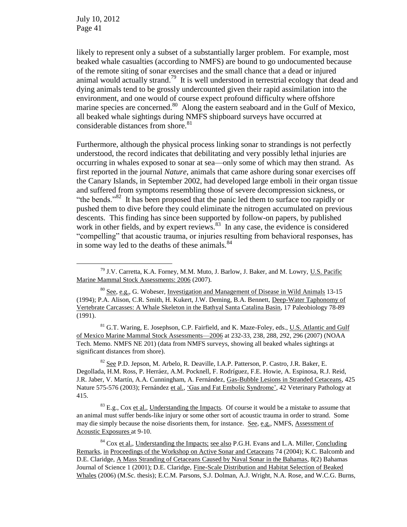$\overline{a}$ 

likely to represent only a subset of a substantially larger problem. For example, most beaked whale casualties (according to NMFS) are bound to go undocumented because of the remote siting of sonar exercises and the small chance that a dead or injured animal would actually strand.<sup>79</sup> It is well understood in terrestrial ecology that dead and dying animals tend to be grossly undercounted given their rapid assimilation into the environment, and one would of course expect profound difficulty where offshore marine species are concerned.<sup>80</sup> Along the eastern seaboard and in the Gulf of Mexico, all beaked whale sightings during NMFS shipboard surveys have occurred at considerable distances from shore.<sup>81</sup>

Furthermore, although the physical process linking sonar to strandings is not perfectly understood, the record indicates that debilitating and very possibly lethal injuries are occurring in whales exposed to sonar at sea—only some of which may then strand. As first reported in the journal *Nature*, animals that came ashore during sonar exercises off the Canary Islands, in September 2002, had developed large emboli in their organ tissue and suffered from symptoms resembling those of severe decompression sickness, or "the bends."<sup>82</sup> It has been proposed that the panic led them to surface too rapidly or pushed them to dive before they could eliminate the nitrogen accumulated on previous descents. This finding has since been supported by follow-on papers, by published work in other fields, and by expert reviews. $83$  In any case, the evidence is considered "compelling" that acoustic trauma, or injuries resulting from behavioral responses, has in some way led to the deaths of these animals.<sup>84</sup>

<sup>81</sup> G.T. Waring, E. Josephson, C.P. Fairfield, and K. Maze-Foley, eds., U.S. Atlantic and Gulf of Mexico Marine Mammal Stock Assessments—2006 at 232-33, 238, 288, 292, 296 (2007) (NOAA Tech. Memo. NMFS NE 201) (data from NMFS surveys, showing all beaked whales sightings at significant distances from shore).

<sup>82</sup> See P.D. Jepson, M. Arbelo, R. Deaville, I.A.P. Patterson, P. Castro, J.R. Baker, E. Degollada, H.M. Ross, P. Herráez, A.M. Pocknell, F. Rodríguez, F.E. Howie, A. Espinosa, R.J. Reid, J.R. Jaber, V. Martín, A.A. Cunningham, A. Fernández, Gas-Bubble Lesions in Stranded Cetaceans*,* 425 Nature 575-576 (2003); Fernández et al., 'Gas and Fat Embolic Syndrome', 42 Veterinary Pathology at 415.

 $83$  E.g., Cox et al., Understanding the Impacts. Of course it would be a mistake to assume that an animal must suffer bends-like injury or some other sort of acoustic trauma in order to strand. Some may die simply because the noise disorients them, for instance. See, e.g., NMFS, Assessment of Acoustic Exposures at 9-10.

 $^{79}$  J.V. Carretta, K.A. Forney, M.M. Muto, J. Barlow, J. Baker, and M. Lowry, U.S. Pacific Marine Mammal Stock Assessments: 2006 (2007).

<sup>&</sup>lt;sup>80</sup> See, e.g., G. Wobeser, <u>Investigation and Management of Disease in Wild Animals</u> 13-15 (1994); P.A. Alison, C.R. Smith, H. Kukert, J.W. Deming, B.A. Bennett, Deep-Water Taphonomy of Vertebrate Carcasses: A Whale Skeleton in the Bathyal Santa Catalina Basin, 17 Paleobiology 78-89 (1991).

<sup>&</sup>lt;sup>84</sup> Cox et al., Understanding the Impacts; see also P.G.H. Evans and L.A. Miller, Concluding Remarks, in Proceedings of the Workshop on Active Sonar and Cetaceans 74 (2004); K.C. Balcomb and D.E. Claridge, A Mass Stranding of Cetaceans Caused by Naval Sonar in the Bahamas, 8(2) Bahamas Journal of Science 1 (2001); D.E. Claridge, Fine-Scale Distribution and Habitat Selection of Beaked Whales (2006) (M.Sc. thesis); E.C.M. Parsons, S.J. Dolman, A.J. Wright, N.A. Rose, and W.C.G. Burns,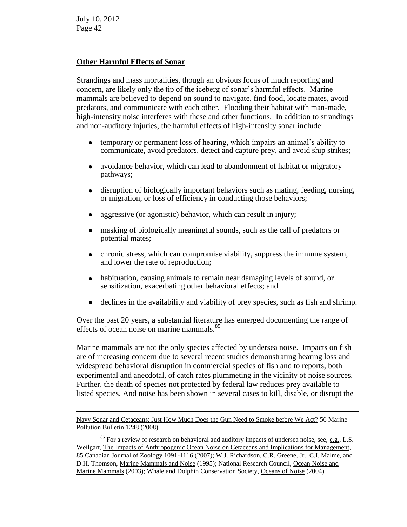$\overline{a}$ 

#### **Other Harmful Effects of Sonar**

Strandings and mass mortalities, though an obvious focus of much reporting and concern, are likely only the tip of the iceberg of sonar's harmful effects. Marine mammals are believed to depend on sound to navigate, find food, locate mates, avoid predators, and communicate with each other. Flooding their habitat with man-made, high-intensity noise interferes with these and other functions. In addition to strandings and non-auditory injuries, the harmful effects of high-intensity sonar include:

- temporary or permanent loss of hearing, which impairs an animal's ability to  $\bullet$ communicate, avoid predators, detect and capture prey, and avoid ship strikes;
- avoidance behavior, which can lead to abandonment of habitat or migratory  $\bullet$ pathways;
- disruption of biologically important behaviors such as mating, feeding, nursing, or migration, or loss of efficiency in conducting those behaviors;
- aggressive (or agonistic) behavior, which can result in injury;  $\bullet$
- masking of biologically meaningful sounds, such as the call of predators or potential mates;
- chronic stress, which can compromise viability, suppress the immune system,  $\bullet$ and lower the rate of reproduction;
- habituation, causing animals to remain near damaging levels of sound, or  $\bullet$ sensitization, exacerbating other behavioral effects; and
- declines in the availability and viability of prey species, such as fish and shrimp.  $\bullet$

Over the past 20 years, a substantial literature has emerged documenting the range of effects of ocean noise on marine mammals.<sup>85</sup>

Marine mammals are not the only species affected by undersea noise. Impacts on fish are of increasing concern due to several recent studies demonstrating hearing loss and widespread behavioral disruption in commercial species of fish and to reports, both experimental and anecdotal, of catch rates plummeting in the vicinity of noise sources. Further, the death of species not protected by federal law reduces prey available to listed species. And noise has been shown in several cases to kill, disable, or disrupt the

Navy Sonar and Cetaceans: Just How Much Does the Gun Need to Smoke before We Act? 56 Marine Pollution Bulletin 1248 (2008).

 $85$  For a review of research on behavioral and auditory impacts of undersea noise, see, e.g., L.S. Weilgart, The Impacts of Anthropogenic Ocean Noise on Cetaceans and Implications for Management, 85 Canadian Journal of Zoology 1091-1116 (2007); W.J. Richardson, C.R. Greene, Jr., C.I. Malme, and D.H. Thomson, Marine Mammals and Noise (1995); National Research Council, Ocean Noise and Marine Mammals (2003); Whale and Dolphin Conservation Society, Oceans of Noise (2004).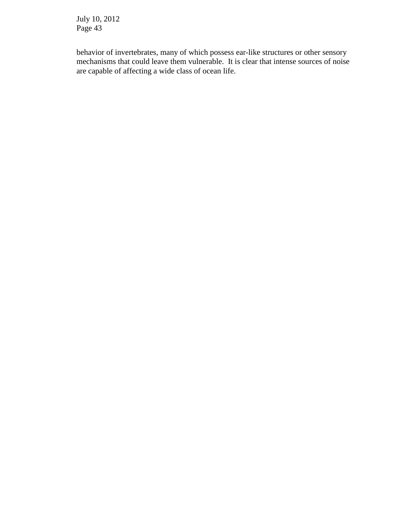behavior of invertebrates, many of which possess ear-like structures or other sensory mechanisms that could leave them vulnerable. It is clear that intense sources of noise are capable of affecting a wide class of ocean life.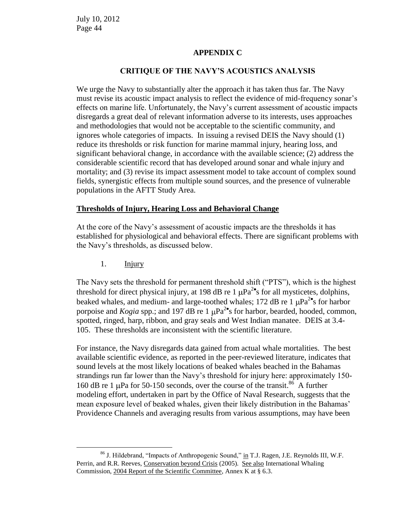#### **APPENDIX C**

#### **CRITIQUE OF THE NAVY'S ACOUSTICS ANALYSIS**

We urge the Navy to substantially alter the approach it has taken thus far. The Navy must revise its acoustic impact analysis to reflect the evidence of mid-frequency sonar's effects on marine life. Unfortunately, the Navy's current assessment of acoustic impacts disregards a great deal of relevant information adverse to its interests, uses approaches and methodologies that would not be acceptable to the scientific community, and ignores whole categories of impacts. In issuing a revised DEIS the Navy should (1) reduce its thresholds or risk function for marine mammal injury, hearing loss, and significant behavioral change, in accordance with the available science; (2) address the considerable scientific record that has developed around sonar and whale injury and mortality; and (3) revise its impact assessment model to take account of complex sound fields, synergistic effects from multiple sound sources, and the presence of vulnerable populations in the AFTT Study Area.

#### **Thresholds of Injury, Hearing Loss and Behavioral Change**

At the core of the Navy's assessment of acoustic impacts are the thresholds it has established for physiological and behavioral effects. There are significant problems with the Navy's thresholds, as discussed below.

1. **Injury** 

 $\overline{a}$ 

The Navy sets the threshold for permanent threshold shift ("PTS"), which is the highest threshold for direct physical injury, at 198 dB re 1  $\mu$ Pa<sup>2•</sup>s for all mysticetes, dolphins, beaked whales, and medium- and large-toothed whales; 172 dB re 1  $\mu$ Pa<sup>2•</sup>s for harbor porpoise and *Kogia* spp.; and 197 dB re 1  $\mu$ Pa<sup>2</sup>'s for harbor, bearded, hooded, common, spotted, ringed, harp, ribbon, and gray seals and West Indian manatee. DEIS at 3.4- 105. These thresholds are inconsistent with the scientific literature.

For instance, the Navy disregards data gained from actual whale mortalities. The best available scientific evidence, as reported in the peer-reviewed literature, indicates that sound levels at the most likely locations of beaked whales beached in the Bahamas strandings run far lower than the Navy's threshold for injury here: approximately 150- 160 dB re 1  $\mu$ Pa for 50-150 seconds, over the course of the transit.<sup>86</sup> A further modeling effort, undertaken in part by the Office of Naval Research, suggests that the mean exposure level of beaked whales, given their likely distribution in the Bahamas' Providence Channels and averaging results from various assumptions, may have been

<sup>&</sup>lt;sup>86</sup> J. Hildebrand, "Impacts of Anthropogenic Sound," in T.J. Ragen, J.E. Reynolds III, W.F. Perrin, and R.R. Reeves, Conservation beyond Crisis (2005). See also International Whaling Commission, 2004 Report of the Scientific Committee, Annex K at § 6.3.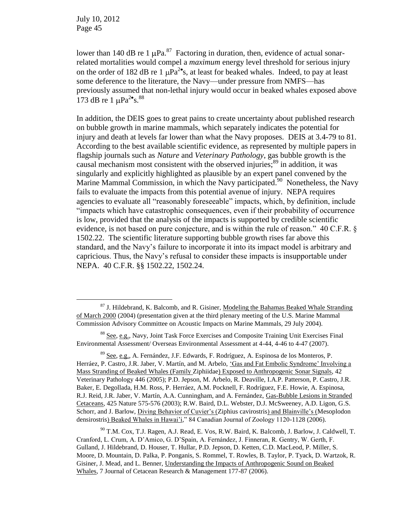$\overline{a}$ 

lower than 140 dB re 1  $\mu$ Pa.<sup>87</sup> Factoring in duration, then, evidence of actual sonarrelated mortalities would compel a *maximum* energy level threshold for serious injury on the order of 182 dB re 1  $\mu$ Pa<sup>2</sup><sup>o</sup>s, at least for beaked whales. Indeed, to pay at least some deference to the literature, the Navy—under pressure from NMFS—has previously assumed that non-lethal injury would occur in beaked whales exposed above 173 dB re 1  $\mu$ Pa<sup>2•</sup>s.<sup>88</sup>

In addition, the DEIS goes to great pains to create uncertainty about published research on bubble growth in marine mammals, which separately indicates the potential for injury and death at levels far lower than what the Navy proposes. DEIS at 3.4-79 to 81. According to the best available scientific evidence, as represented by multiple papers in flagship journals such as *Nature* and *Veterinary Pathology*, gas bubble growth is the causal mechanism most consistent with the observed injuries;<sup>89</sup> in addition, it was singularly and explicitly highlighted as plausible by an expert panel convened by the Marine Mammal Commission, in which the Navy participated.<sup>90</sup> Nonetheless, the Navy fails to evaluate the impacts from this potential avenue of injury. NEPA requires agencies to evaluate all "reasonably foreseeable" impacts, which, by definition, include "impacts which have catastrophic consequences, even if their probability of occurrence is low, provided that the analysis of the impacts is supported by credible scientific evidence, is not based on pure conjecture, and is within the rule of reason." 40 C.F.R. § 1502.22. The scientific literature supporting bubble growth rises far above this standard, and the Navy's failure to incorporate it into its impact model is arbitrary and capricious. Thus, the Navy's refusal to consider these impacts is insupportable under NEPA. 40 C.F.R. §§ 1502.22, 1502.24.

<sup>&</sup>lt;sup>87</sup> J. Hildebrand, K. Balcomb, and R. Gisiner, Modeling the Bahamas Beaked Whale Stranding of March 2000 (2004) (presentation given at the third plenary meeting of the U.S. Marine Mammal Commission Advisory Committee on Acoustic Impacts on Marine Mammals, 29 July 2004).

<sup>88</sup> See, e.g., Navy, Joint Task Force Exercises and Composite Training Unit Exercises Final Environmental Assessment/ Overseas Environmental Assessment at 4-44, 4-46 to 4-47 (2007).

<sup>89</sup> See, e.g., A. Fernández, J.F. Edwards, F. Rodríguez, A. Espinosa de los Monteros, P. Herráez, P. Castro, J.R. Jaber, V. Martín, and M. Arbelo, 'Gas and Fat Embolic Syndrome' Involving a Mass Stranding of Beaked Whales (Family Ziphiidae) Exposed to Anthropogenic Sonar Signals, 42 Veterinary Pathology 446 (2005); P.D. Jepson, M. Arbelo, R. Deaville, I.A.P. Patterson, P. Castro, J.R. Baker, E. Degollada, H.M. Ross, P. Herráez, A.M. Pocknell, F. Rodríguez, F.E. Howie, A. Espinosa, R.J. Reid, J.R. Jaber, V. Martín, A.A. Cunningham, and A. Fernández, Gas-Bubble Lesions in Stranded Cetaceans*,* 425 Nature 575-576 (2003); R.W. Baird, D.L. Webster, D.J. McSweeney, A.D. Ligon, G.S. Schorr, and J. Barlow, Diving Behavior of Cuvier's (Ziphius cavirostris) and Blainville's (Mesoplodon densirostris) Beaked Whales in Hawai'i," 84 Canadian Journal of Zoology 1120-1128 (2006).

<sup>90</sup> T.M. Cox, T.J. Ragen, A.J. Read, E. Vos, R.W. Baird, K. Balcomb, J. Barlow, J. Caldwell, T. Cranford, L. Crum, A. D'Amico, G. D'Spain, A. Fernández, J. Finneran, R. Gentry, W. Gerth, F. Gulland, J. Hildebrand, D. Houser, T. Hullar, P.D. Jepson, D. Ketten, C.D. MacLeod, P. Miller, S. Moore, D. Mountain, D. Palka, P. Ponganis, S. Rommel, T. Rowles, B. Taylor, P. Tyack, D. Wartzok, R. Gisiner, J. Mead, and L. Benner, Understanding the Impacts of Anthropogenic Sound on Beaked Whales, 7 Journal of Cetacean Research & Management 177-87 (2006).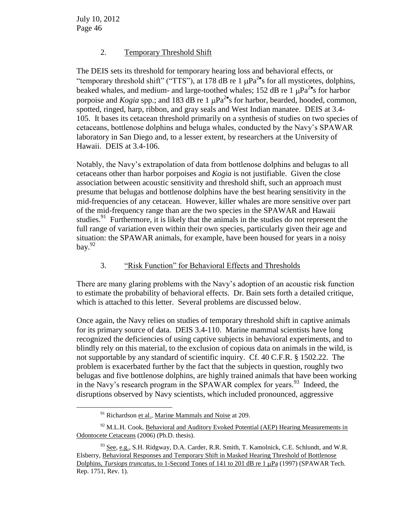$\overline{a}$ 

# 2. Temporary Threshold Shift

The DEIS sets its threshold for temporary hearing loss and behavioral effects, or "temporary threshold shift" ("TTS"), at 178 dB re 1  $\mu$ Pa<sup>2</sup>'s for all mysticetes, dolphins, beaked whales, and medium- and large-toothed whales; 152 dB re 1  $\mu$ Pa<sup>2•</sup>s for harbor porpoise and *Kogia* spp.; and 183 dB re 1  $\mu$ Pa<sup>2</sup>'s for harbor, bearded, hooded, common, spotted, ringed, harp, ribbon, and gray seals and West Indian manatee. DEIS at 3.4- 105. It bases its cetacean threshold primarily on a synthesis of studies on two species of cetaceans, bottlenose dolphins and beluga whales, conducted by the Navy's SPAWAR laboratory in San Diego and, to a lesser extent, by researchers at the University of Hawaii. DEIS at 3.4-106.

Notably, the Navy's extrapolation of data from bottlenose dolphins and belugas to all cetaceans other than harbor porpoises and *Kogia* is not justifiable. Given the close association between acoustic sensitivity and threshold shift, such an approach must presume that belugas and bottlenose dolphins have the best hearing sensitivity in the mid-frequencies of any cetacean. However, killer whales are more sensitive over part of the mid-frequency range than are the two species in the SPAWAR and Hawaii studies.<sup>91</sup> Furthermore, it is likely that the animals in the studies do not represent the full range of variation even within their own species, particularly given their age and situation: the SPAWAR animals, for example, have been housed for years in a noisy bay. $92$ 

# 3. "Risk Function" for Behavioral Effects and Thresholds

There are many glaring problems with the Navy's adoption of an acoustic risk function to estimate the probability of behavioral effects. Dr. Bain sets forth a detailed critique, which is attached to this letter. Several problems are discussed below.

Once again, the Navy relies on studies of temporary threshold shift in captive animals for its primary source of data. DEIS 3.4-110. Marine mammal scientists have long recognized the deficiencies of using captive subjects in behavioral experiments, and to blindly rely on this material, to the exclusion of copious data on animals in the wild, is not supportable by any standard of scientific inquiry. Cf. 40 C.F.R. § 1502.22. The problem is exacerbated further by the fact that the subjects in question, roughly two belugas and five bottlenose dolphins, are highly trained animals that have been working in the Navy's research program in the SPAWAR complex for years.<sup>93</sup> Indeed, the disruptions observed by Navy scientists, which included pronounced, aggressive

<sup>&</sup>lt;sup>91</sup> Richardson et al., Marine Mammals and Noise at 209.

 $92$  M.L.H. Cook, Behavioral and Auditory Evoked Potential (AEP) Hearing Measurements in Odontocete Cetaceans (2006) (Ph.D. thesis).

<sup>&</sup>lt;sup>93</sup> See, e.g., S.H. Ridgway, D.A. Carder, R.R. Smith, T. Kamolnick, C.E. Schlundt, and W.R. Elsberry, Behavioral Responses and Temporary Shift in Masked Hearing Threshold of Bottlenose Dolphins, *Tursiops truncatus*, to 1-Second Tones of 141 to 201 dB re 1 µPa (1997) (SPAWAR Tech. Rep. 1751, Rev. 1).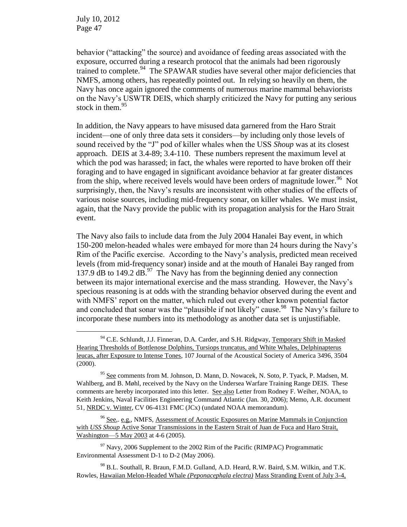$\overline{a}$ 

behavior ("attacking" the source) and avoidance of feeding areas associated with the exposure, occurred during a research protocol that the animals had been rigorously trained to complete.<sup>94</sup> The SPAWAR studies have several other major deficiencies that NMFS, among others, has repeatedly pointed out. In relying so heavily on them, the Navy has once again ignored the comments of numerous marine mammal behaviorists on the Navy's USWTR DEIS, which sharply criticized the Navy for putting any serious stock in them. $95$ 

In addition, the Navy appears to have misused data garnered from the Haro Strait incident—one of only three data sets it considers—by including only those levels of sound received by the "J" pod of killer whales when the USS *Shoup* was at its closest approach. DEIS at 3.4-89; 3.4-110. These numbers represent the maximum level at which the pod was harassed; in fact, the whales were reported to have broken off their foraging and to have engaged in significant avoidance behavior at far greater distances from the ship, where received levels would have been orders of magnitude lower.<sup>96</sup> Not surprisingly, then, the Navy's results are inconsistent with other studies of the effects of various noise sources, including mid-frequency sonar, on killer whales. We must insist, again, that the Navy provide the public with its propagation analysis for the Haro Strait event.

The Navy also fails to include data from the July 2004 Hanalei Bay event, in which 150-200 melon-headed whales were embayed for more than 24 hours during the Navy's Rim of the Pacific exercise. According to the Navy's analysis, predicted mean received levels (from mid-frequency sonar) inside and at the mouth of Hanalei Bay ranged from 137.9 dB to 149.2 dB. $^{97}$  The Navy has from the beginning denied any connection between its major international exercise and the mass stranding. However, the Navy's specious reasoning is at odds with the stranding behavior observed during the event and with NMFS' report on the matter, which ruled out every other known potential factor and concluded that sonar was the "plausible if not likely" cause.<sup>98</sup> The Navy's failure to incorporate these numbers into its methodology as another data set is unjustifiable.

 $94$  C.E. Schlundt, J.J. Finneran, D.A. Carder, and S.H. Ridgway, Temporary Shift in Masked Hearing Thresholds of Bottlenose Dolphins, Tursiops truncatus, and White Whales, Delphinapterus leucas, after Exposure to Intense Tones, 107 Journal of the Acoustical Society of America 3496, 3504 (2000).

<sup>&</sup>lt;sup>95</sup> See comments from M. Johnson, D. Mann, D. Nowacek, N. Soto, P. Tyack, P. Madsen, M. Wahlberg, and B. Møhl, received by the Navy on the Undersea Warfare Training Range DEIS. These comments are hereby incorporated into this letter. See also Letter from Rodney F. Weiher, NOAA, to Keith Jenkins, Naval Facilities Engineering Command Atlantic (Jan. 30, 2006); Memo, A.R. document 51, NRDC v. Winter, CV 06-4131 FMC (JCx) (undated NOAA memorandum).

<sup>96</sup> See,. e.g., NMFS, Assessment of Acoustic Exposures on Marine Mammals in Conjunction with *USS Shoup* Active Sonar Transmissions in the Eastern Strait of Juan de Fuca and Haro Strait, Washington—5 May 2003 at 4-6 (2005).

 $97$  Navy, 2006 Supplement to the 2002 Rim of the Pacific (RIMPAC) Programmatic Environmental Assessment D-1 to D-2 (May 2006).

<sup>&</sup>lt;sup>98</sup> B.L. Southall, R. Braun, F.M.D. Gulland, A.D. Heard, R.W. Baird, S.M. Wilkin, and T.K. Rowles, Hawaiian Melon-Headed Whale *(Peponacephala electra)* Mass Stranding Event of July 3-4,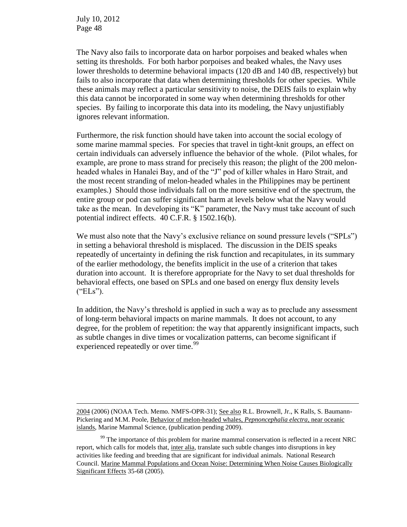$\overline{a}$ 

The Navy also fails to incorporate data on harbor porpoises and beaked whales when setting its thresholds. For both harbor porpoises and beaked whales, the Navy uses lower thresholds to determine behavioral impacts (120 dB and 140 dB, respectively) but fails to also incorporate that data when determining thresholds for other species. While these animals may reflect a particular sensitivity to noise, the DEIS fails to explain why this data cannot be incorporated in some way when determining thresholds for other species. By failing to incorporate this data into its modeling, the Navy unjustifiably ignores relevant information.

Furthermore, the risk function should have taken into account the social ecology of some marine mammal species. For species that travel in tight-knit groups, an effect on certain individuals can adversely influence the behavior of the whole. (Pilot whales, for example, are prone to mass strand for precisely this reason; the plight of the 200 melonheaded whales in Hanalei Bay, and of the "J" pod of killer whales in Haro Strait, and the most recent stranding of melon-headed whales in the Philippines may be pertinent examples.) Should those individuals fall on the more sensitive end of the spectrum, the entire group or pod can suffer significant harm at levels below what the Navy would take as the mean. In developing its "K" parameter, the Navy must take account of such potential indirect effects. 40 C.F.R. § 1502.16(b).

We must also note that the Navy's exclusive reliance on sound pressure levels ("SPLs") in setting a behavioral threshold is misplaced. The discussion in the DEIS speaks repeatedly of uncertainty in defining the risk function and recapitulates, in its summary of the earlier methodology, the benefits implicit in the use of a criterion that takes duration into account. It is therefore appropriate for the Navy to set dual thresholds for behavioral effects, one based on SPLs and one based on energy flux density levels ("ELs").

In addition, the Navy's threshold is applied in such a way as to preclude any assessment of long-term behavioral impacts on marine mammals. It does not account, to any degree, for the problem of repetition: the way that apparently insignificant impacts, such as subtle changes in dive times or vocalization patterns, can become significant if experienced repeatedly or over time.<sup>99</sup>

<sup>2004</sup> (2006) (NOAA Tech. Memo. NMFS-OPR-31); See also R.L. Brownell, Jr., K Ralls, S. Baumann-Pickering and M.M. Poole, Behavior of melon-headed whales, *Pepnoncephalia electra*, near oceanic islands, Marine Mammal Science, (publication pending 2009).

<sup>&</sup>lt;sup>99</sup> The importance of this problem for marine mammal conservation is reflected in a recent NRC report, which calls for models that, inter alia, translate such subtle changes into disruptions in key activities like feeding and breeding that are significant for individual animals. National Research Council. Marine Mammal Populations and Ocean Noise: Determining When Noise Causes Biologically Significant Effects 35-68 (2005).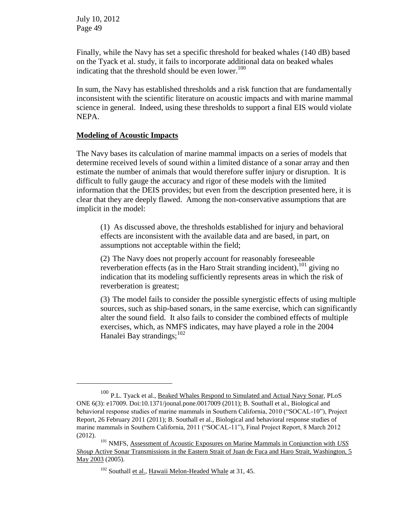$\overline{a}$ 

Finally, while the Navy has set a specific threshold for beaked whales (140 dB) based on the Tyack et al. study, it fails to incorporate additional data on beaked whales indicating that the threshold should be even lower. $100$ 

In sum, the Navy has established thresholds and a risk function that are fundamentally inconsistent with the scientific literature on acoustic impacts and with marine mammal science in general. Indeed, using these thresholds to support a final EIS would violate NEPA.

#### **Modeling of Acoustic Impacts**

The Navy bases its calculation of marine mammal impacts on a series of models that determine received levels of sound within a limited distance of a sonar array and then estimate the number of animals that would therefore suffer injury or disruption. It is difficult to fully gauge the accuracy and rigor of these models with the limited information that the DEIS provides; but even from the description presented here, it is clear that they are deeply flawed. Among the non-conservative assumptions that are implicit in the model:

(1) As discussed above, the thresholds established for injury and behavioral effects are inconsistent with the available data and are based, in part, on assumptions not acceptable within the field;

(2) The Navy does not properly account for reasonably foreseeable reverberation effects (as in the Haro Strait stranding incident),  $^{101}$  giving no indication that its modeling sufficiently represents areas in which the risk of reverberation is greatest;

(3) The model fails to consider the possible synergistic effects of using multiple sources, such as ship-based sonars, in the same exercise, which can significantly alter the sound field. It also fails to consider the combined effects of multiple exercises, which, as NMFS indicates, may have played a role in the 2004 Hanalei Bay strandings; $^{102}$ 

<sup>&</sup>lt;sup>100</sup> P.L. Tyack et al., Beaked Whales Respond to Simulated and Actual Navy Sonar, PLoS ONE 6(3): e17009. Doi:10.1371/jounal.pone.0017009 (2011); B. Southall et al., Biological and behavioral response studies of marine mammals in Southern California, 2010 ("SOCAL-10"), Project Report, 26 February 2011 (2011); B. Southall et al., Biological and behavioral response studies of marine mammals in Southern California, 2011 ("SOCAL-11"), Final Project Report, 8 March 2012 (2012).

<sup>101</sup> NMFS, Assessment of Acoustic Exposures on Marine Mammals in Conjunction with *USS Shoup* Active Sonar Transmissions in the Eastern Strait of Juan de Fuca and Haro Strait, Washington, 5 May 2003 (2005).

<sup>&</sup>lt;sup>102</sup> Southall et al., Hawaii Melon-Headed Whale at 31, 45.